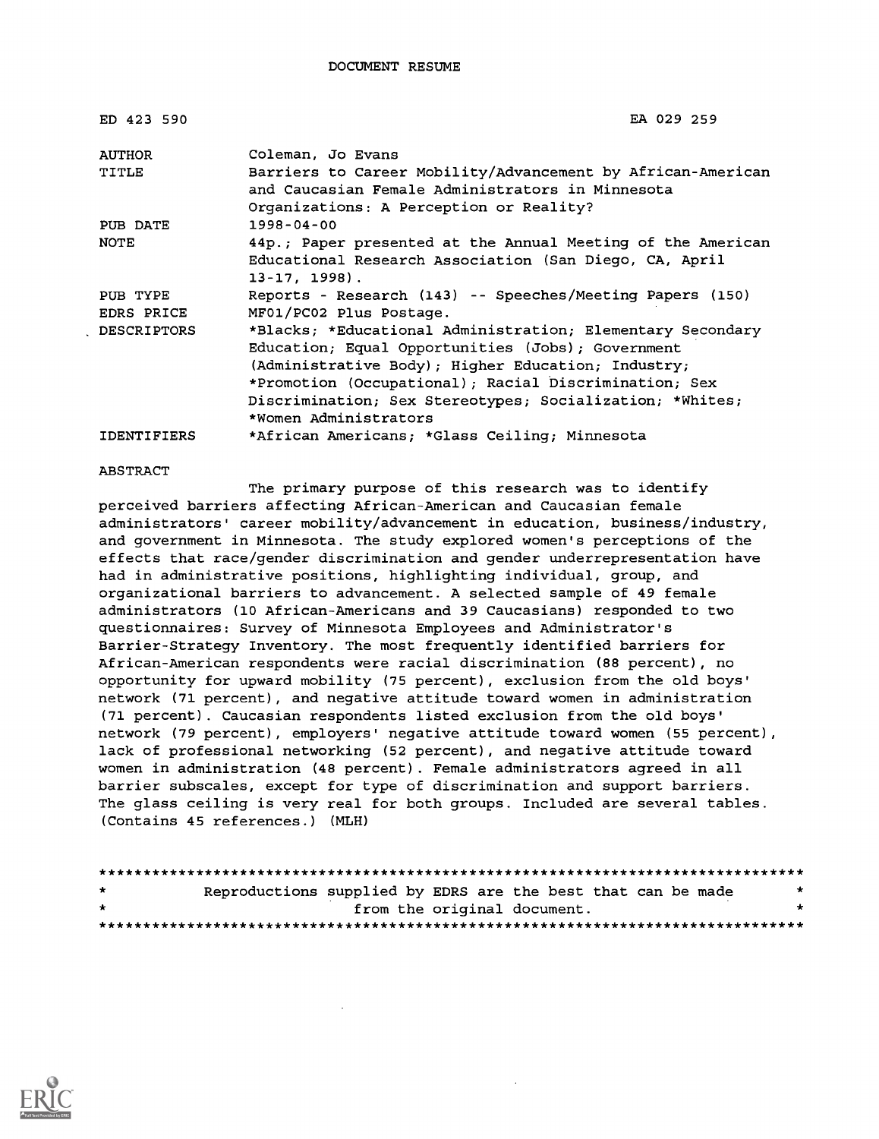| ED 423 590             | EA 029 259                                                                                                                                                                                                                                                                                                          |
|------------------------|---------------------------------------------------------------------------------------------------------------------------------------------------------------------------------------------------------------------------------------------------------------------------------------------------------------------|
| AUTHOR                 | Coleman, Jo Evans                                                                                                                                                                                                                                                                                                   |
| TITLE                  | Barriers to Career Mobility/Advancement by African-American<br>and Caucasian Female Administrators in Minnesota<br>Organizations: A Perception or Reality?                                                                                                                                                          |
| PUB DATE               | $1998 - 04 - 00$                                                                                                                                                                                                                                                                                                    |
| NOTE                   | 44p.; Paper presented at the Annual Meeting of the American<br>Educational Research Association (San Diego, CA, April<br>$13 - 17, 1998$ .                                                                                                                                                                          |
| PUB TYPE<br>EDRS PRICE | Reports - Research (143) -- Speeches/Meeting Papers (150)<br>MF01/PC02 Plus Postage.                                                                                                                                                                                                                                |
| <b>DESCRIPTORS</b>     | *Blacks; *Educational Administration; Elementary Secondary<br>Education; Equal Opportunities (Jobs); Government<br>(Administrative Body); Higher Education; Industry;<br>*Promotion (Occupational); Racial Discrimination; Sex<br>Discrimination; Sex Stereotypes; Socialization; *Whites;<br>*Women Administrators |
| IDENTIFIERS            | *African Americans; *Glass Ceiling; Minnesota                                                                                                                                                                                                                                                                       |

#### ABSTRACT

The primary purpose of this research was to identify perceived barriers affecting African-American and Caucasian female administrators' career mobility/advancement in education, business/industry, and government in Minnesota. The study explored women's perceptions of the effects that race/gender discrimination and gender underrepresentation have had in administrative positions, highlighting individual, group, and organizational barriers to advancement. A selected sample of 49 female administrators (10 African-Americans and 39 Caucasians) responded to two questionnaires: Survey of Minnesota Employees and Administrator's Barrier-Strategy Inventory. The most frequently identified barriers for African-American respondents were racial discrimination (88 percent), no opportunity for upward mobility (75 percent), exclusion from the old boys' network (71 percent), and negative attitude toward women in administration (71 percent) . Caucasian respondents listed exclusion from the old boys' network (79 percent), employers' negative attitude toward women (55 percent), lack of professional networking (52 percent), and negative attitude toward women in administration (48 percent) . Female administrators agreed in all barrier subscales, except for type of discrimination and support barriers. The glass ceiling is very real for both groups. Included are several tables. (Contains 45 references.) (MLH)

| $\star$ | Reproductions supplied by EDRS are the best that can be made |  |                             | * |  |
|---------|--------------------------------------------------------------|--|-----------------------------|---|--|
| $\star$ |                                                              |  | from the original document. |   |  |
|         |                                                              |  |                             |   |  |

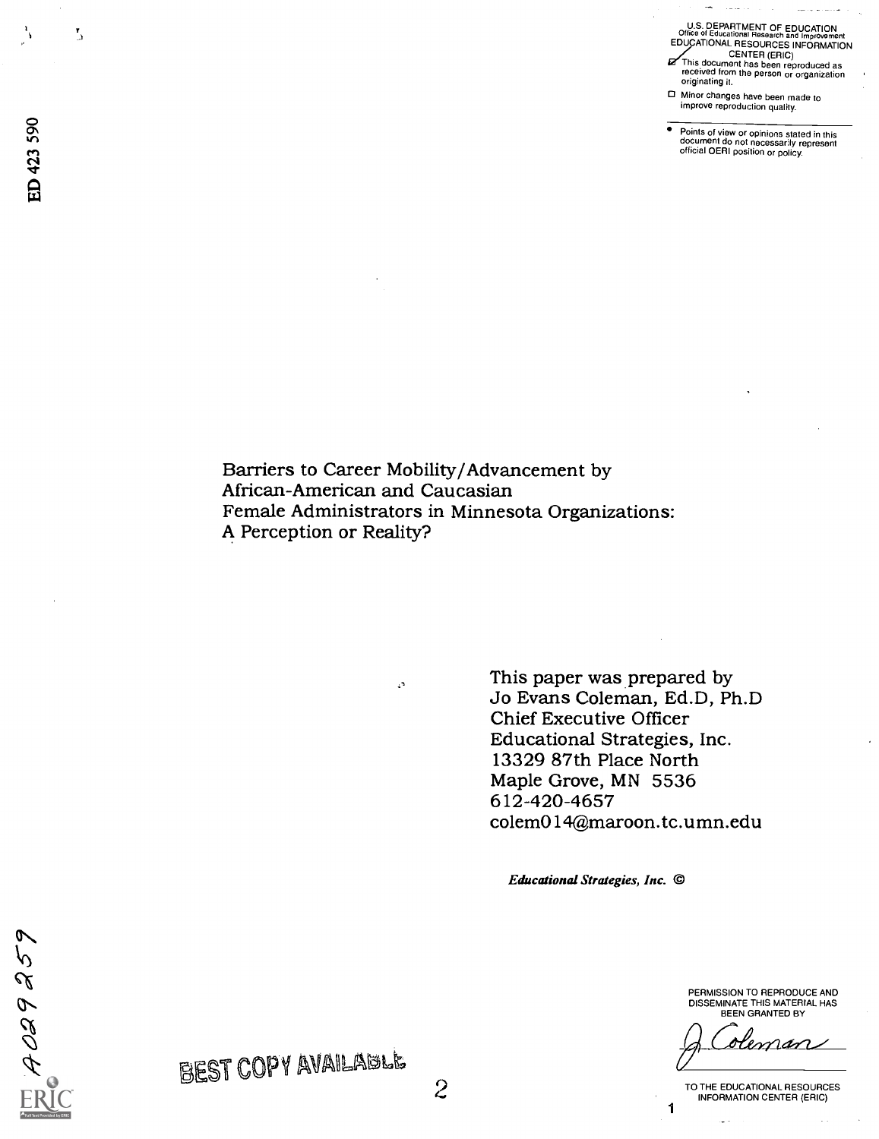U.S. DEPARTMENT OF EDUCATION Office ol Educational Research and Irnprovernent EDUCATIONAL RESOURCES INFORMATION

- CENTER (ERIC)<br>This document has been reproduced as<br>received from the person or organization originating it.
- 0 Minor changes have been made to improve reproduction quality.

Points of view or opinions stated in this<br>document do not necessarily represent official OERI position or policy.

Barriers to Career Mobility/Advancement by African-American and Caucasian Female Administrators in Minnesota Organizations: A Perception or Reality?

 $\mathbb{Z}^2$ 

This paper was prepared by Jo Evans Coleman, Ed.D, Ph.D Chief Executive Officer Educational Strategies, Inc. 13329 87th Place North Maple Grove, MN 5536 612-420-4657 colem014@maroon.tc.umn.edu

Educational Strategies, Inc. ©

PERMISSION TO REPRODUCE AND DISSEMINATE THIS MATERIAL HAS BEEN GRANTED BY

<u>oleman</u>

TO THE EDUCATIONAL RESOURCES INFORMATION CENTER (ERIC)

1

 $\alpha$ C<sub>N</sub>  $\Box$ 

 $\frac{1}{2}$ 

 $\mathbf{L}$ 

ON

 $\widehat{\mathsf{FRIC}}$ 

N

 $\sim$ 

BEST COPY AVAILABLE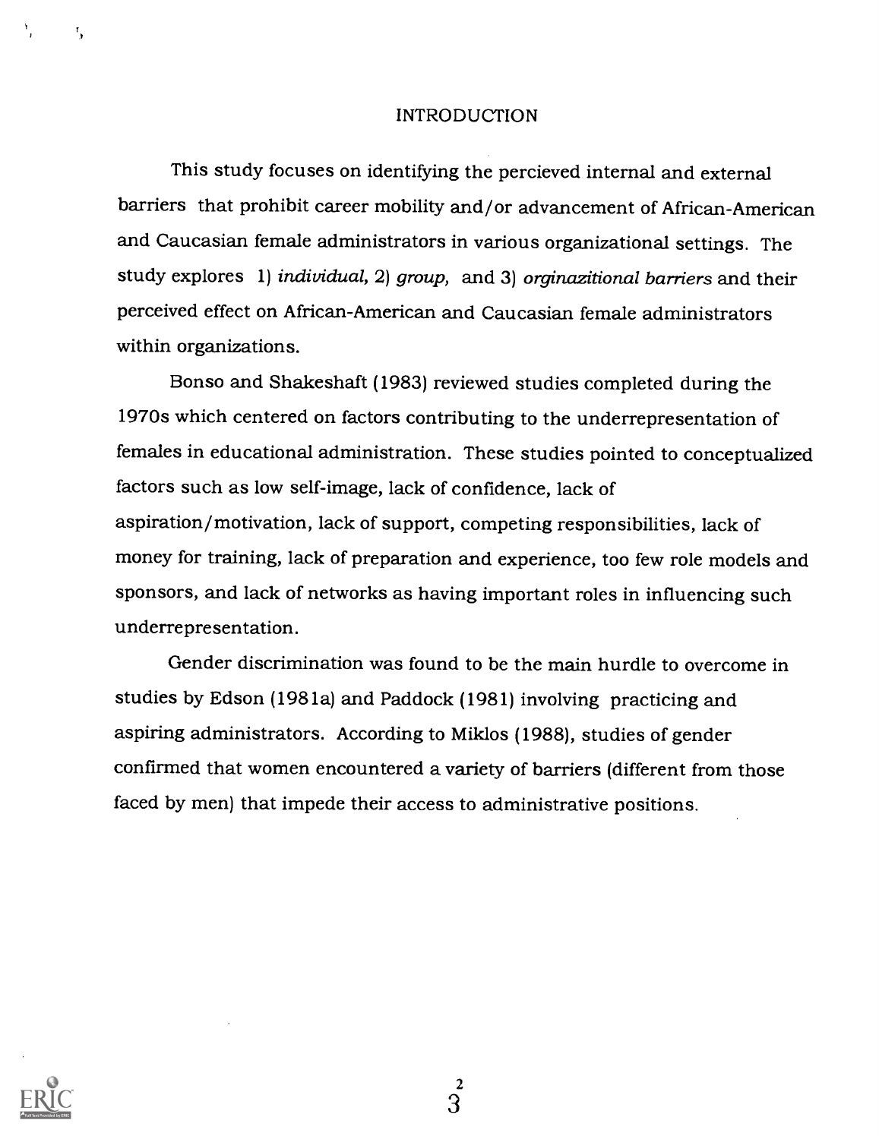#### INTRODUCTION

This study focuses on identifying the percieved internal and external barriers that prohibit career mobility and/or advancement of African-American and Caucasian female administrators in various organizational settings. The study explores 1) individual, 2) group, and 3) orginazitional barriers and their perceived effect on African-American and Caucasian female administrators within organizations.

Bonso and Shakeshaft (1983) reviewed studies completed during the 1970s which centered on factors contributing to the underrepresentation of females in educational administration. These studies pointed to conceptualized factors such as low self-image, lack of confidence, lack of aspiration/motivation, lack of support, competing responsibilities, lack of money for training, lack of preparation and experience, too few role models and sponsors, and lack of networks as having important roles in influencing such underrepresentation.

Gender discrimination was found to be the main hurdle to overcome in studies by Edson (1981a) and Paddock (1981) involving practicing and aspiring administrators. According to Miklos (1988), studies of gender confirmed that women encountered a variety of barriers (different from those faced by men) that impede their access to administrative positions.



 $\mathbf{r}_{\mathbf{r}}$ 

 $\boldsymbol{\mathsf{2}}$ 3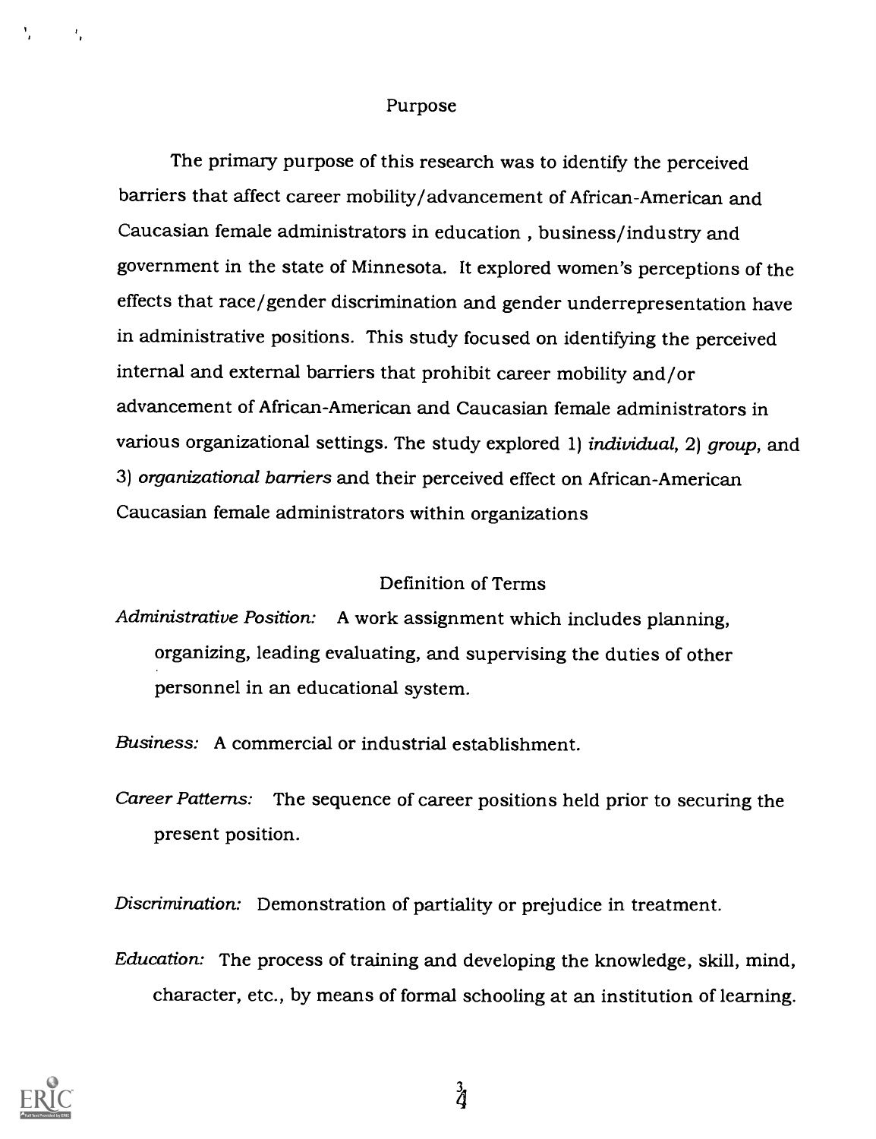#### Purpose

The primary purpose of this research was to identify the perceived barriers that affect career mobility/advancement of African-American and Caucasian female administrators in education , business/industry and government in the state of Minnesota. It explored women's perceptions of the effects that race/gender discrimination and gender underrepresentation have in administrative positions. This study focused on identifying the perceived internal and external barriers that prohibit career mobility and/or advancement of African-American and Caucasian female administrators in various organizational settings. The study explored 1) individual, 2) group, and 3) organizational barriers and their perceived effect on African-American Caucasian female administrators within organizations

### Definition of Terms

Administrative Position: A work assignment which includes planning, organizing, leading evaluating, and supervising the duties of other personnel in an educational system.

Business: A commercial or industrial establishment.

Career Patterns: The sequence of career positions held prior to securing the present position.

Discrimination: Demonstration of partiality or prejudice in treatment.

Education: The process of training and developing the knowledge, skill, mind, character, etc., by means of formal schooling at an institution of learning.



٠.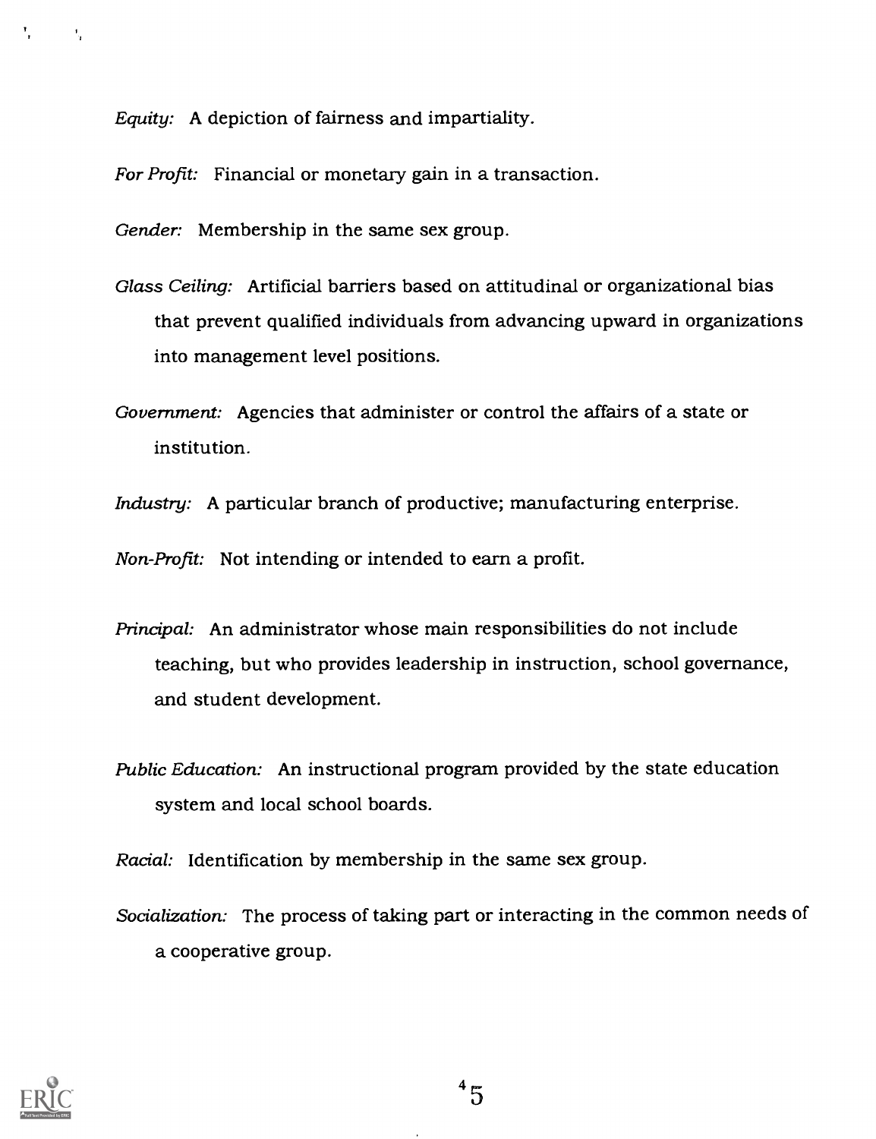Equity: A depiction of fairness and impartiality.

For Profit: Financial or monetary gain in a transaction.

Gender: Membership in the same sex group.

- Glass Ceiling: Artificial barriers based on attitudinal or organizational bias that prevent qualified individuals from advancing upward in organizations into management level positions.
- Government: Agencies that administer or control the affairs of a state or institution.
- Industry: A particular branch of productive; manufacturing enterprise.

Non-Profit: Not intending or intended to earn a profit.

- Principal: An administrator whose main responsibilities do not include teaching, but who provides leadership in instruction, school governance, and student development.
- Public Education: An instructional program provided by the state education system and local school boards.

Racial: Identification by membership in the same sex group.

Socialization: The process of taking part or interacting in the common needs of a cooperative group.



У.,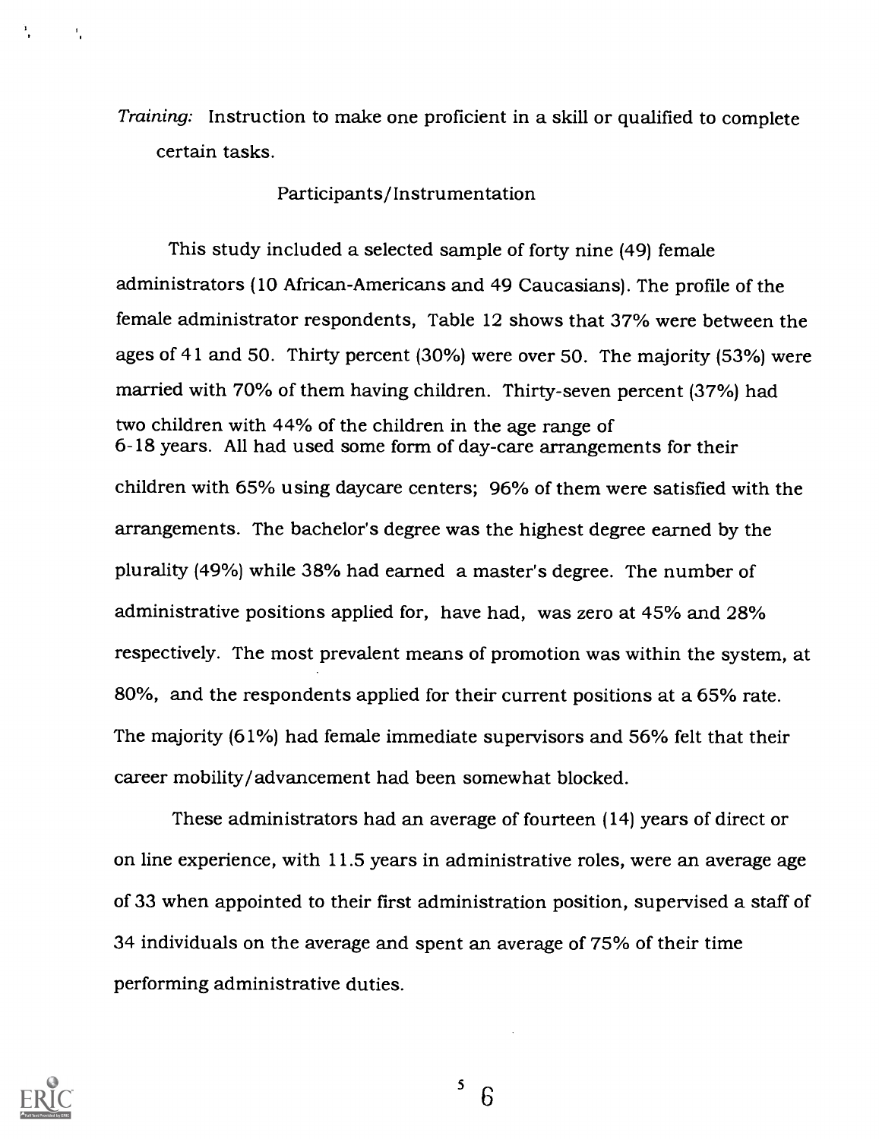Training: Instruction to make one proficient in a skill or qualified to complete certain tasks.

#### Participants/Instrumentation

This study included a selected sample of forty nine (49) female administrators (10 African-Americans and 49 Caucasians). The profile of the female administrator respondents, Table 12 shows that 37% were between the ages of 41 and 50. Thirty percent (30%) were over 50. The majority (53%) were married with 70% of them having children. Thirty-seven percent (37%) had two children with 44% of the children in the age range of 6-18 years. All had used some form of day-care arrangements for their children with 65% using daycare centers; 96% of them were satisfied with the arrangements. The bachelor's degree was the highest degree earned by the plurality (49%) while 38% had earned a master's degree. The number of administrative positions applied for, have had, was zero at 45% and 28% respectively. The most prevalent means of promotion was within the system, at 80%, and the respondents applied for their current positions at a 65% rate. The majority (61%) had female immediate supervisors and 56% felt that their career mobility/advancement had been somewhat blocked.

These administrators had an average of fourteen (14) years of direct or on line experience, with 11.5 years in administrative roles, were an average age of 33 when appointed to their first administration position, supervised a staff of 34 individuals on the average and spent an average of 75% of their time performing administrative duties.



 $\mathbf{1}_{\mathbf{1}}$ 

 $\frac{5}{6}$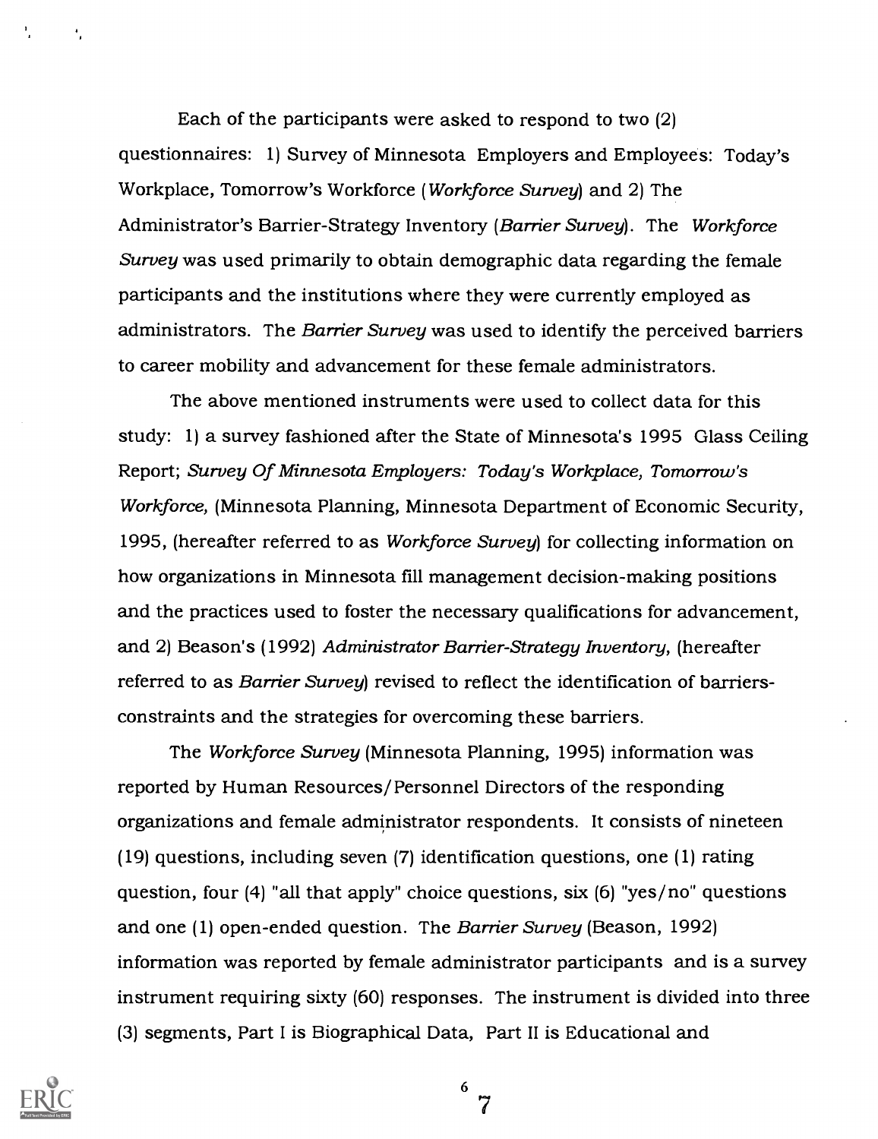Each of the participants were asked to respond to two (2) questionnaires: 1) Survey of Minnesota Employers and Employees: Today's Workplace, Tomorrow's Workforce (Workforce Survey) and 2) The Administrator's Barrier-Strategy Inventory (Barrier Survey). The Workforce Survey was used primarily to obtain demographic data regarding the female participants and the institutions where they were currently employed as administrators. The Barrier Survey was used to identify the perceived barriers to career mobility and advancement for these female administrators.

The above mentioned instruments were used to collect data for this study: 1) a survey fashioned after the State of Minnesota's 1995 Glass Ceiling Report; Survey Of Minnesota Employers: Today's Workplace, Tomorrow's Workforce, (Minnesota Planning, Minnesota Department of Economic Security, 1995, (hereafter referred to as Workforce Survey) for collecting information on how organizations in Minnesota fill management decision-making positions and the practices used to foster the necessary qualifications for advancement, and 2) Beason's (1992) Administrator Barrier-Strategy Inventory, (hereafter referred to as Barrier Survey) revised to reflect the identification of barriersconstraints and the strategies for overcoming these barriers.

The Workforce Survey (Minnesota Planning, 1995) information was reported by Human Resources/Personnel Directors of the responding organizations and female administrator respondents. It consists of nineteen (19) questions, including seven (7) identification questions, one (1) rating question, four (4) "all that apply" choice questions, six (6) "yes/no" questions and one (1) open-ended question. The Barrier Survey (Beason, 1992) information was reported by female administrator participants and is a survey instrument requiring sixty (60) responses. The instrument is divided into three (3) segments, Part I is Biographical Data, Part II is Educational and



۰.

6 7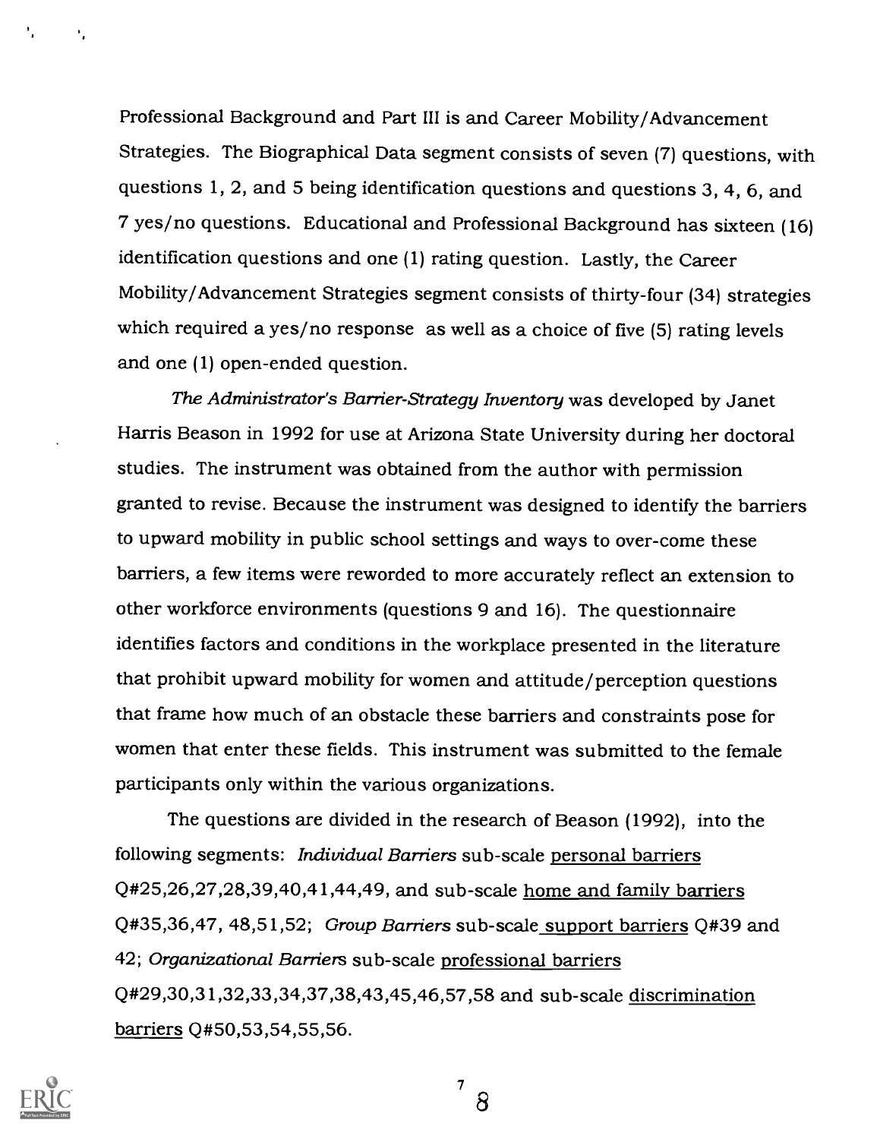Professional Background and Part III is and Career Mobility/Advancement Strategies. The Biographical Data segment consists of seven (7) questions, with questions 1, 2, and 5 being identification questions and questions 3, 4, 6, and 7 yes/no questions. Educational and Professional Background has sixteen (16) identification questions and one (1) rating question. Lastly, the Career Mobility/Advancement Strategies segment consists of thirty-four (34) strategies which required a yes/no response as well as a choice of five (5) rating levels and one (1) open-ended question.

The Administrator's Barrier-Strategy Inventory was developed by Janet Harris Beason in 1992 for use at Arizona State University during her doctoral studies. The instrument was obtained from the author with permission granted to revise. Because the instrument was designed to identify the barriers to upward mobility in public school settings and ways to over-come these barriers, a few items were reworded to more accurately reflect an extension to other workforce environments (questions 9 and 16). The questionnaire identifies factors and conditions in the workplace presented in the literature that prohibit upward mobility for women and attitude/perception questions that frame how much of an obstacle these barriers and constraints pose for women that enter these fields. This instrument was submitted to the female participants only within the various organizations.

The questions are divided in the research of Beason (1992), into the following segments: Individual Barriers sub-scale personal barriers Q#25,26,27,28,39,40,41,44,49, and sub-scale home and family barriers Q#35,36,47, 48,51,52; Group Barriers sub-scale support barriers Q#39 and 42; Organizational Barriers sub-scale professional barriers Q#29,30,31,32,33,34,37,38,43,45,46,57,58 and sub-scale discrimination barriers Q#50,53,54,55,56.



 $7 \sim$ 8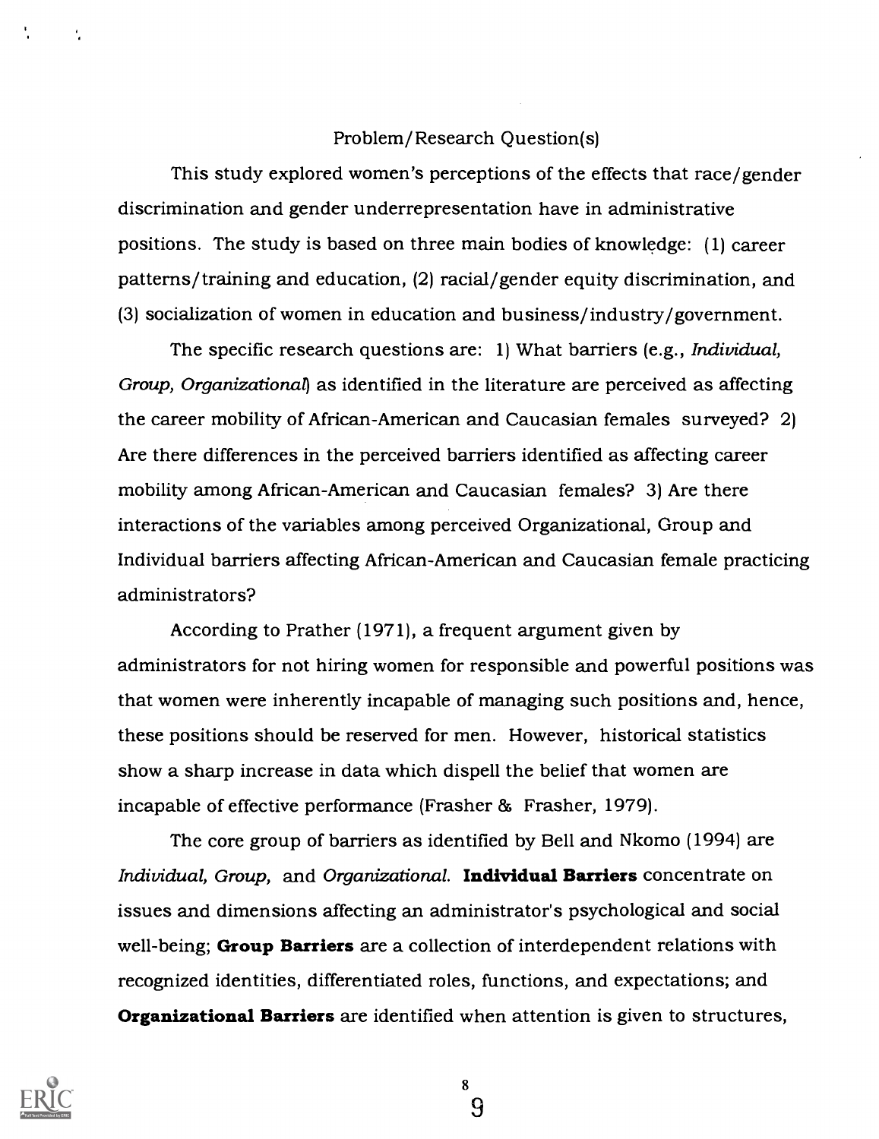### Problem/Research Question(s)

This study explored women's perceptions of the effects that race/gender discrimination and gender underrepresentation have in administrative positions. The study is based on three main bodies of knowledge: (1) career patterns/training and education, (2) racial/gender equity discrimination, and (3) socialization of women in education and business/industry/government.

The specific research questions are: 1) What barriers (e.g., *Individual*, Group, Organizational) as identified in the literature are perceived as affecting the career mobility of African-American and Caucasian females surveyed? 2) Are there differences in the perceived barriers identified as affecting career mobility among African-American and Caucasian females? 3) Are there interactions of the variables among perceived Organizational, Group and Individual barriers affecting African-American and Caucasian female practicing administrators?

According to Prather (1971), a frequent argument given by administrators for not hiring women for responsible and powerful positions was that women were inherently incapable of managing such positions and, hence, these positions should be reserved for men. However, historical statistics show a sharp increase in data which dispell the belief that women are incapable of effective performance (Frasher & Frasher, 1979).

The core group of barriers as identified by Bell and Nkomo (1994) are Individual, Group, and Organizational. Individual Barriers concentrate on issues and dimensions affecting an administrator's psychological and social well-being; Group Barriers are a collection of interdependent relations with recognized identities, differentiated roles, functions, and expectations; and **Organizational Barriers** are identified when attention is given to structures,



8 9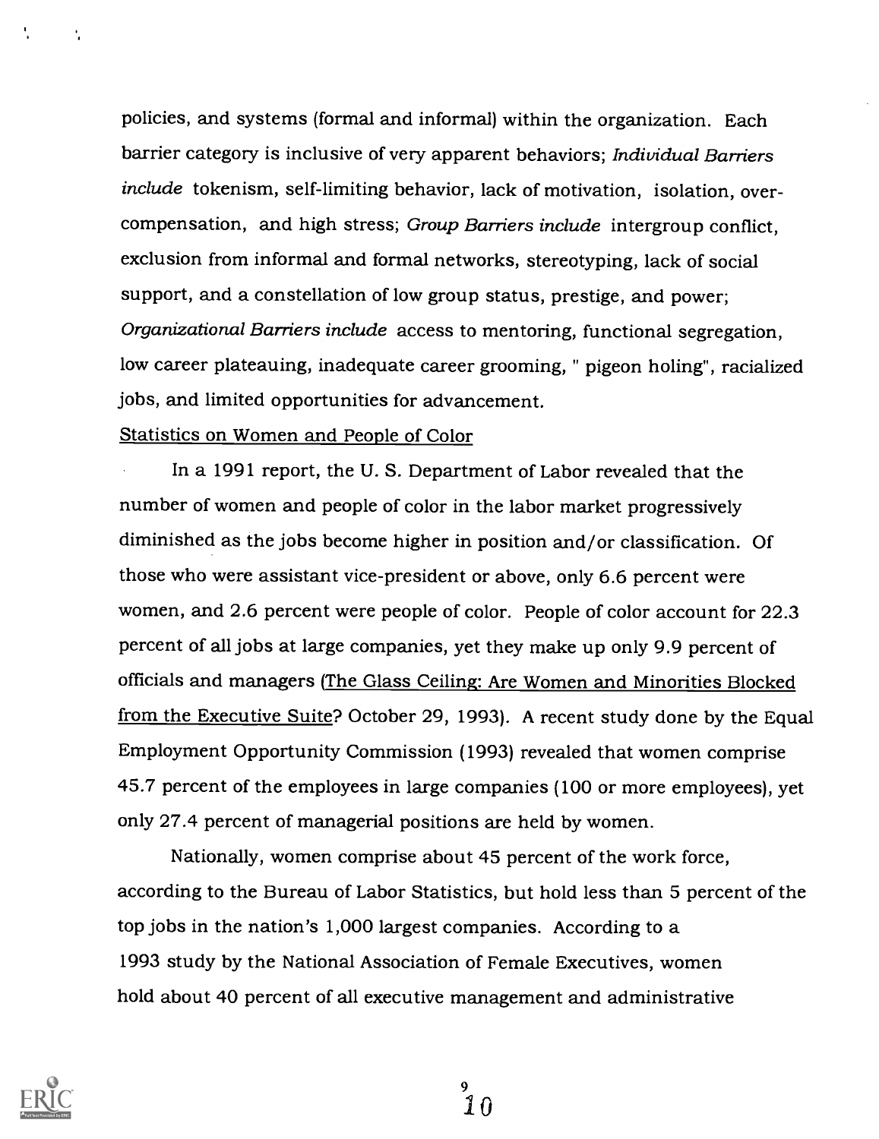policies, and systems (formal and informal) within the organization. Each barrier category is inclusive of very apparent behaviors; Individual Barriers include tokenism, self-limiting behavior, lack of motivation, isolation, overcompensation, and high stress; Group Barriers include intergroup conflict, exclusion from informal and formal networks, stereotyping, lack of social support, and a constellation of low group status, prestige, and power; Organizational Barriers include access to mentoring, functional segregation, low career plateauing, inadequate career grooming, " pigeon holing", racialized jobs, and limited opportunities for advancement.

### Statistics on Women and People of Color

In a 1991 report, the U. S. Department of Labor revealed that the number of women and people of color in the labor market progressively diminished as the jobs become higher in position and/or classification. Of those who were assistant vice-president or above, only 6.6 percent were women, and 2.6 percent were people of color. People of color account for 22.3 percent of all jobs at large companies, yet they make up only 9.9 percent of officials and managers (The Glass Ceiling: Are Women and Minorities Blocked from the Executive Suite? October 29, 1993). A recent study done by the Equal Employment Opportunity Commission (1993) revealed that women comprise 45.7 percent of the employees in large companies (100 or more employees), yet only 27.4 percent of managerial positions are held by women.

Nationally, women comprise about 45 percent of the work force, according to the Bureau of Labor Statistics, but hold less than 5 percent of the top jobs in the nation's 1,000 largest companies. According to a 1993 study by the National Association of Female Executives, women hold about 40 percent of all executive management and administrative



÷

。<br>10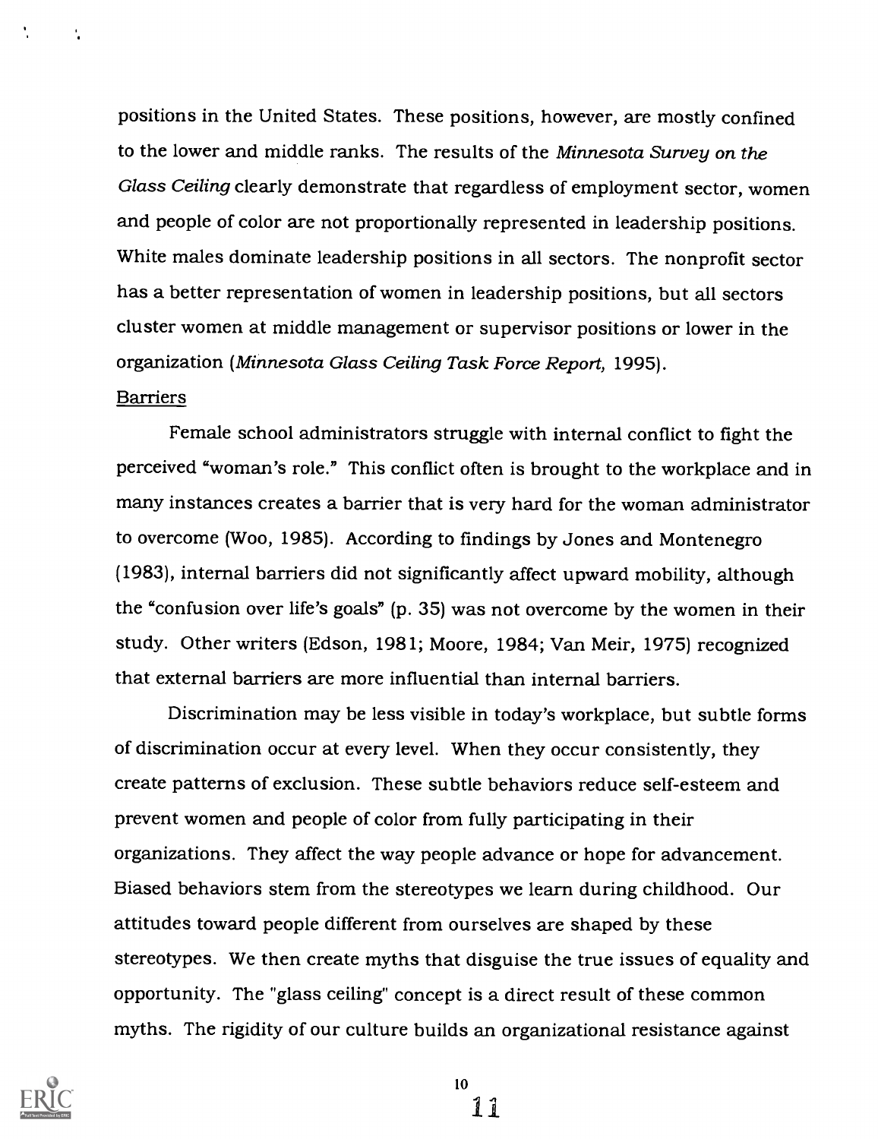positions in the United States. These positions, however, are mostly confined to the lower and middle ranks. The results of the Minnesota Survey on the Glass Ceiling clearly demonstrate that regardless of employment sector, women and people of color are not proportionally represented in leadership positions. White males dominate leadership positions in all sectors. The nonprofit sector has a better representation of women in leadership positions, but all sectors cluster women at middle management or supervisor positions or lower in the organization (Minnesota Glass Ceiling Task Force Report, 1995).

### **Barriers**

Female school administrators struggle with internal conflict to fight the perceived "woman's role." This conflict often is brought to the workplace and in many instances creates a barrier that is very hard for the woman administrator to overcome (Woo, 1985). According to findings by Jones and Montenegro (1983), internal barriers did not significantly affect upward mobility, although the "confusion over life's goals" (p. 35) was not overcome by the women in their study. Other writers (Edson, 1981; Moore, 1984; Van Meir, 1975) recognized that external barriers are more influential than internal barriers.

Discrimination may be less visible in today's workplace, but subtle forms of discrimination occur at every level. When they occur consistently, they create patterns of exclusion. These subtle behaviors reduce self-esteem and prevent women and people of color from fully participating in their organizations. They affect the way people advance or hope for advancement. Biased behaviors stem from the stereotypes we learn during childhood. Our attitudes toward people different from ourselves are shaped by these stereotypes. We then create myths that disguise the true issues of equality and opportunity. The "glass ceiling" concept is a direct result of these common myths. The rigidity of our culture builds an organizational resistance against



10

11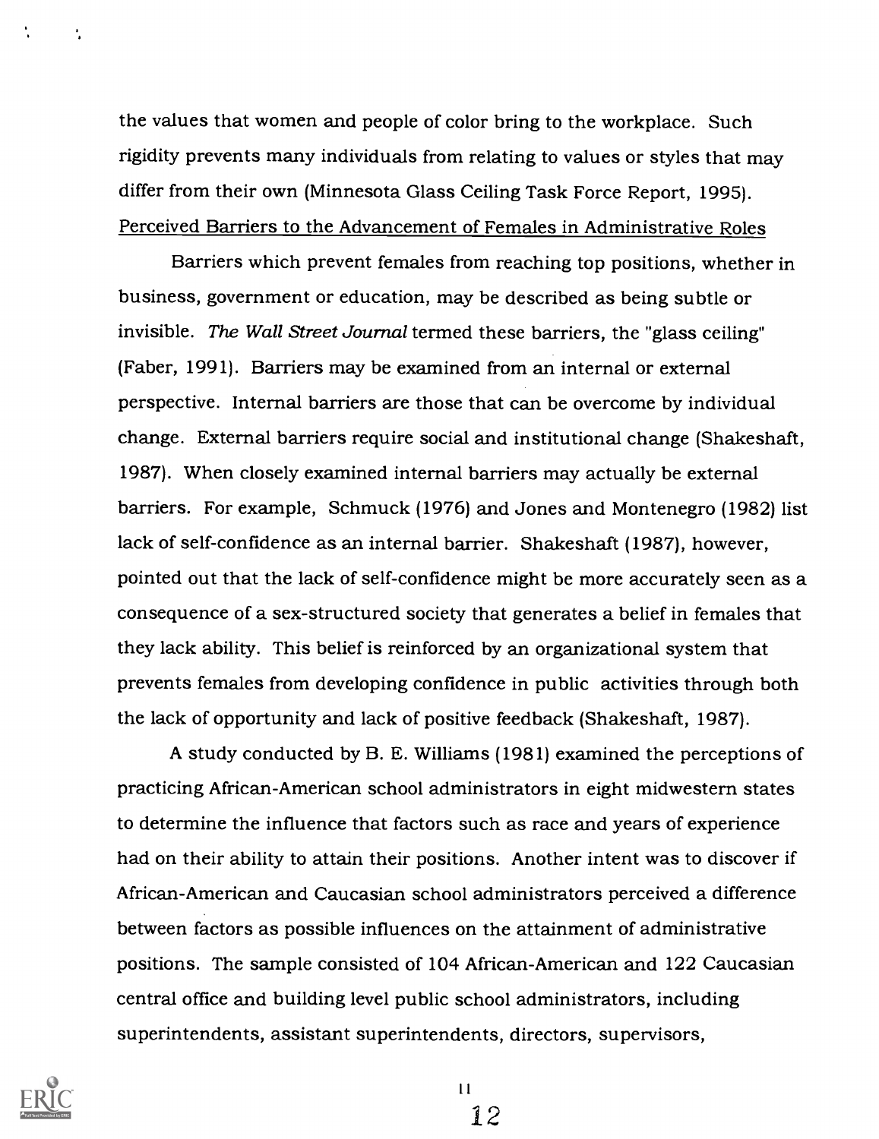the values that women and people of color bring to the workplace. Such rigidity prevents many individuals from relating to values or styles that may differ from their own (Minnesota Glass Ceiling Task Force Report, 1995). Perceived Barriers to the Advancement of Females in Administrative Roles

Barriers which prevent females from reaching top positions, whether in business, government or education, may be described as being subtle or invisible. The Wall Street Journal termed these barriers, the "glass ceiling" (Faber, 1991). Barriers may be examined from an internal or external perspective. Internal barriers are those that can be overcome by individual change. External barriers require social and institutional change (Shakeshaft, 1987). When closely examined internal barriers may actually be external barriers. For example, Schmuck (1976) and Jones and Montenegro (1982) list lack of self-confidence as an internal barrier. Shakeshaft (1987), however, pointed out that the lack of self-confidence might be more accurately seen as a consequence of a sex-structured society that generates a belief in females that they lack ability. This belief is reinforced by an organizational system that prevents females from developing confidence in public activities through both the lack of opportunity and lack of positive feedback (Shakeshaft, 1987).

A study conducted by B. E. Williams (1981) examined the perceptions of practicing African-American school administrators in eight midwestern states to determine the influence that factors such as race and years of experience had on their ability to attain their positions. Another intent was to discover if African-American and Caucasian school administrators perceived a difference between factors as possible influences on the attainment of administrative positions. The sample consisted of 104 African-American and 122 Caucasian central office and building level public school administrators, including superintendents, assistant superintendents, directors, supervisors,



÷

 $11$ 

12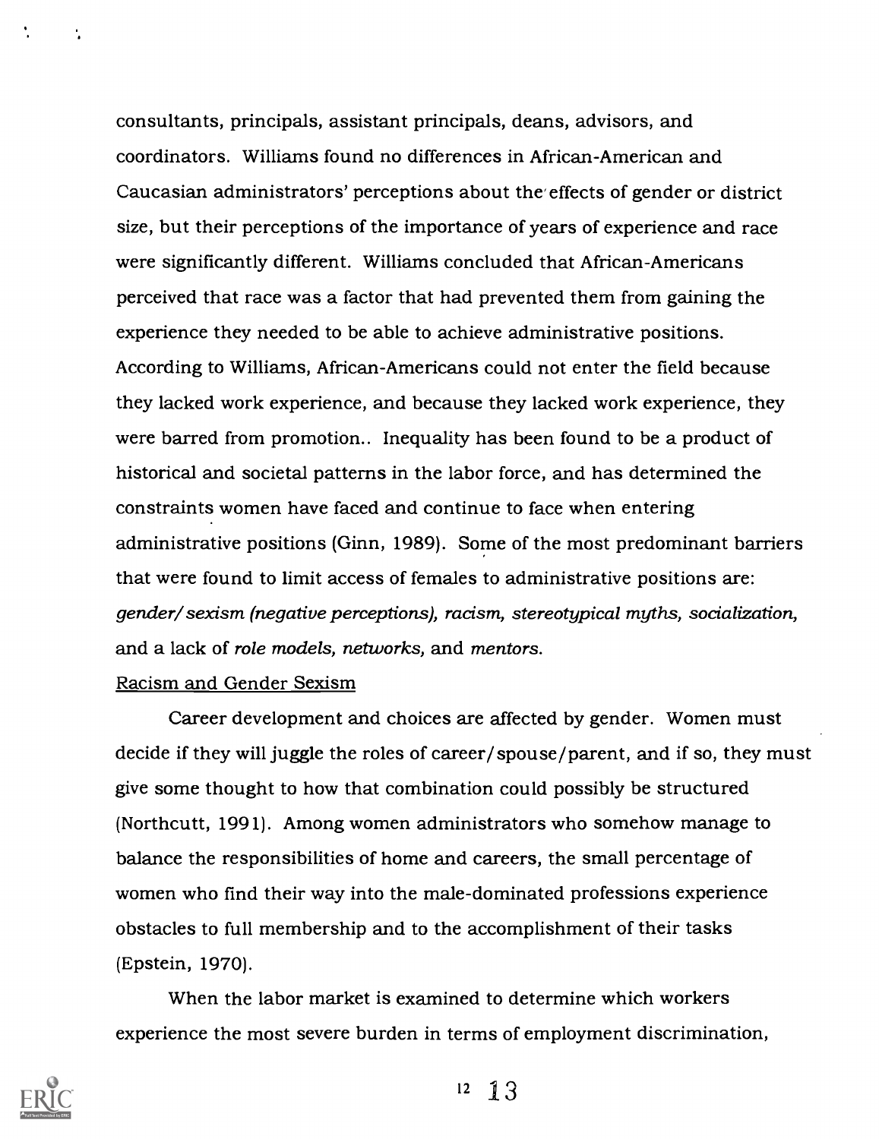consultants, principals, assistant principals, deans, advisors, and coordinators. Williams found no differences in African-American and Caucasian administrators' perceptions about the effects of gender or district size, but their perceptions of the importance of years of experience and race were significantly different. Williams concluded that African-Americans perceived that race was a factor that had prevented them from gaining the experience they needed to be able to achieve administrative positions. According to Williams, African-Americans could not enter the field because they lacked work experience, and because they lacked work experience, they were barred from promotion.. Inequality has been found to be a product of historical and societal patterns in the labor force, and has determined the constraints women have faced and continue to face when entering administrative positions (Ginn, 1989). Some of the most predominant barriers that were found to limit access of females to administrative positions are: gender/ sexism (negative perceptions), racism, stereotypical myths, socialization, and a lack of role models, networks, and mentors.

### Racism and Gender Sexism

Career development and choices are affected by gender. Women must decide if they will juggle the roles of career/spouse/parent, and if so, they must give some thought to how that combination could possibly be structured (Northcutt, 1991). Among women administrators who somehow manage to balance the responsibilities of home and careers, the small percentage of women who find their way into the male-dominated professions experience obstacles to full membership and to the accomplishment of their tasks (Epstein, 1970).

When the labor market is examined to determine which workers experience the most severe burden in terms of employment discrimination,



÷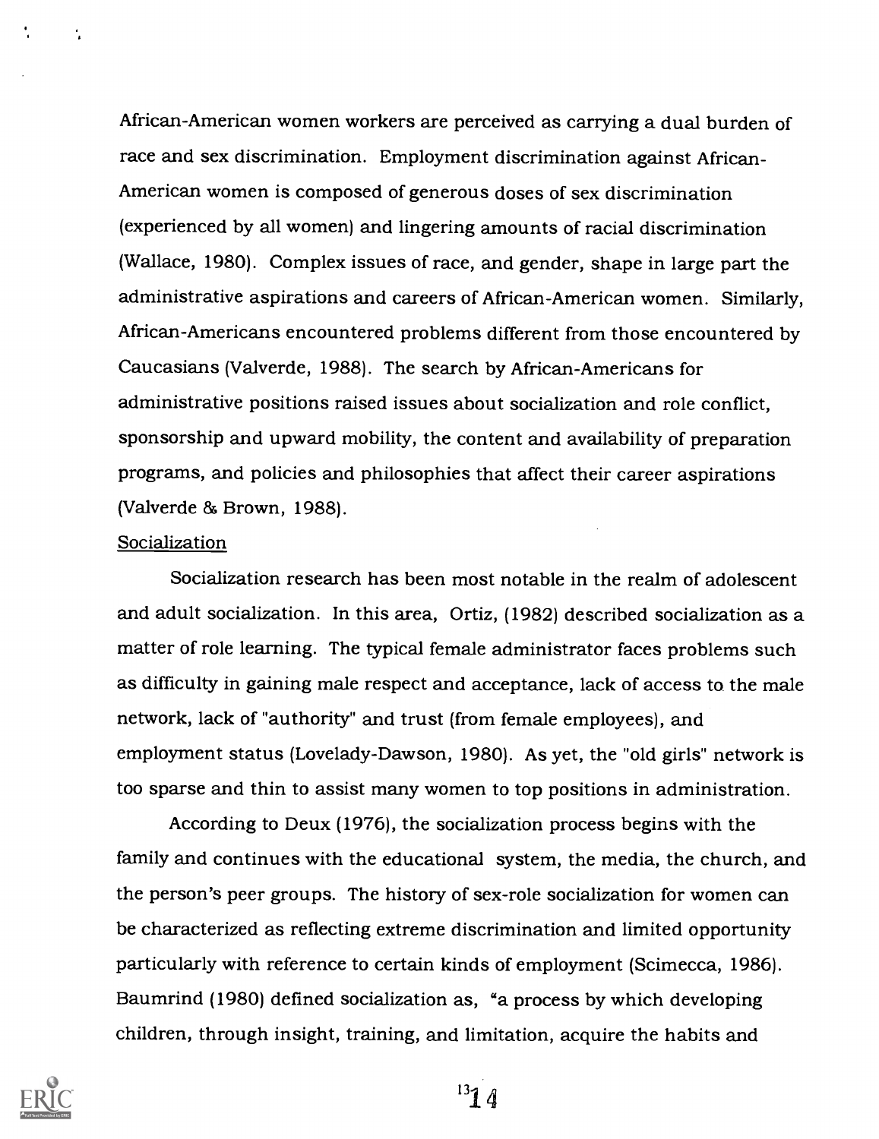African-American women workers are perceived as carrying a dual burden of race and sex discrimination. Employment discrimination against African-American women is composed of generous doses of sex discrimination (experienced by all women) and lingering amounts of racial discrimination (Wallace, 1980). Complex issues of race, and gender, shape in large part the administrative aspirations and careers of African-American women. Similarly, African-Americans encountered problems different from those encountered by Caucasians (Valverde, 1988). The search by African-Americans for administrative positions raised issues about socialization and role conflict, sponsorship and upward mobility, the content and availability of preparation programs, and policies and philosophies that affect their career aspirations (Valverde  $& Brown, 1988$ ).

#### Socialization

 $\mathbf{r}_i$ 

Socialization research has been most notable in the realm of adolescent and adult socialization. In this area, Ortiz, (1982) described socialization as a matter of role learning. The typical female administrator faces problems such as difficulty in gaining male respect and acceptance, lack of access to the male network, lack of "authority" and trust (from female employees), and employment status (Lovelady-Dawson, 1980). As yet, the "old girls" network is too sparse and thin to assist many women to top positions in administration.

According to Deux (1976), the socialization process begins with the family and continues with the educational system, the media, the church, and the person's peer groups. The history of sex-role socialization for women can be characterized as reflecting extreme discrimination and limited opportunity particularly with reference to certain kinds of employment (Scimecca, 1986). Baumrind (1980) defined socialization as, "a process by which developing children, through insight, training, and limitation, acquire the habits and



 $^{13}14$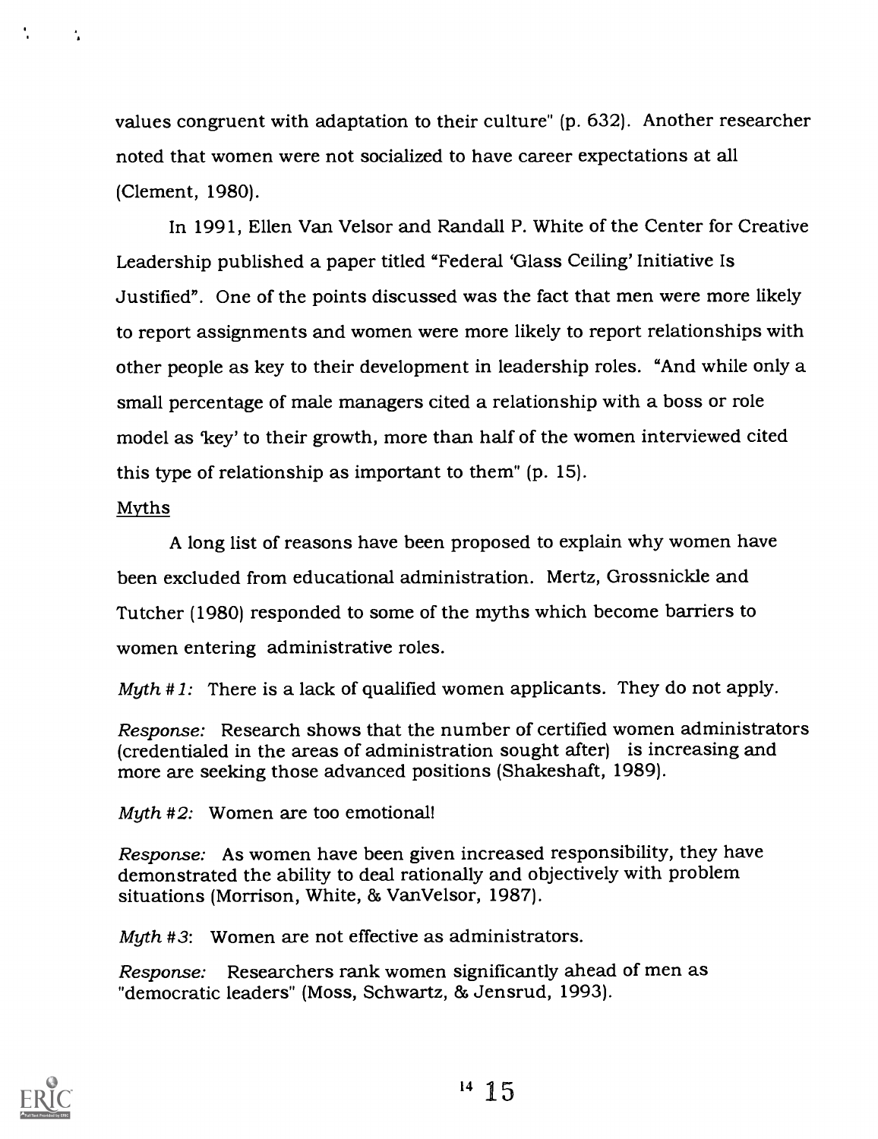values congruent with adaptation to their culture" (p. 632). Another researcher noted that women were not socialized to have career expectations at all (Clement, 1980).

In 1991, Ellen Van Velsor and Randall P. White of the Center for Creative Leadership published a paper titled "Federal 'Glass Ceiling' Initiative Is Justified". One of the points discussed was the fact that men were more likely to report assignments and women were more likely to report relationships with other people as key to their development in leadership roles. "And while only a small percentage of male managers cited a relationship with a boss or role model as 'key' to their growth, more than half of the women interviewed cited this type of relationship as important to them" (p. 15).

### Myths

 $\mathcal{L}_{\mathbf{a}}$ 

A long list of reasons have been proposed to explain why women have been excluded from educational administration. Mertz, Grossnickle and Tutcher (1980) responded to some of the myths which become barriers to women entering administrative roles.

Myth  $# 1$ : There is a lack of qualified women applicants. They do not apply.

Response: Research shows that the number of certified women administrators (credentialed in the areas of administration sought after) is increasing and more are seeking those advanced positions (Shakeshaft, 1989).

Myth  $#2$ : Women are too emotional!

Response: As women have been given increased responsibility, they have demonstrated the ability to deal rationally and objectively with problem situations (Morrison, White, & VanVelsor, 1987).

Myth #3: Women are not effective as administrators.

Response: Researchers rank women significantly ahead of men as "democratic leaders" (Moss, Schwartz, 86 Jensrud, 1993).

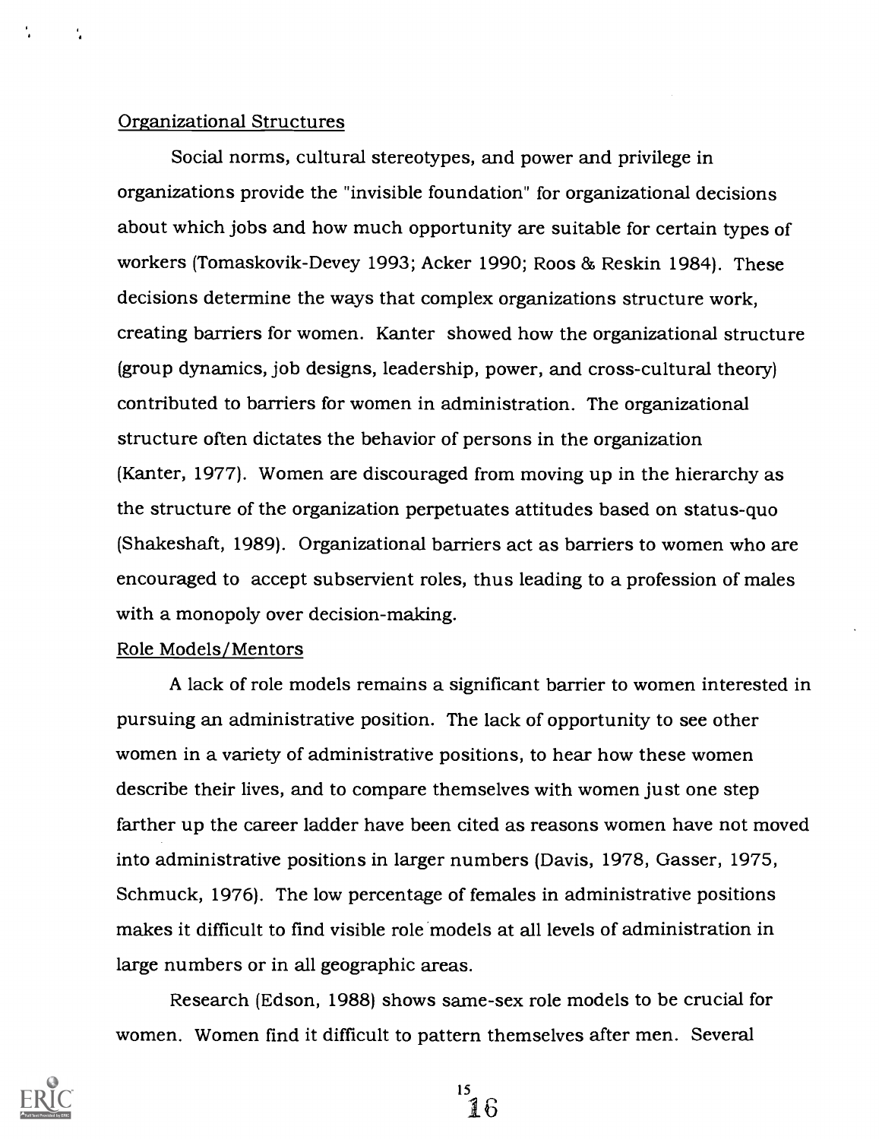### Organizational Structures

Social norms, cultural stereotypes, and power and privilege in organizations provide the "invisible foundation" for organizational decisions about which jobs and how much opportunity are suitable for certain types of workers (Tomaskovik-Devey 1993; Acker 1990; Roos & Reskin 1984). These decisions determine the ways that complex organizations structure work, creating barriers for women. Kanter showed how the organizational structure (group dynamics, job designs, leadership, power, and cross-cultural theory) contributed to barriers for women in administration. The organizational structure often dictates the behavior of persons in the organization (Kanter, 1977). Women are discouraged from moving up in the hierarchy as the structure of the organization perpetuates attitudes based on status-quo (Shakeshaft, 1989). Organizational barriers act as barriers to women who are encouraged to accept subservient roles, thus leading to a profession of males with a monopoly over decision-making.

#### Role Models/Mentors

A lack of role models remains a significant barrier to women interested in pursuing an administrative position. The lack of opportunity to see other women in a variety of administrative positions, to hear how these women describe their lives, and to compare themselves with women just one step farther up the career ladder have been cited as reasons women have not moved into administrative positions in larger numbers (Davis, 1978, Gasser, 1975, Schmuck, 1976). The low percentage of females in administrative positions makes it difficult to find visible role models at all levels of administration in large numbers or in all geographic areas.

Research (Edson, 1988) shows same-sex role models to be crucial for women. Women find it difficult to pattern themselves after men. Several

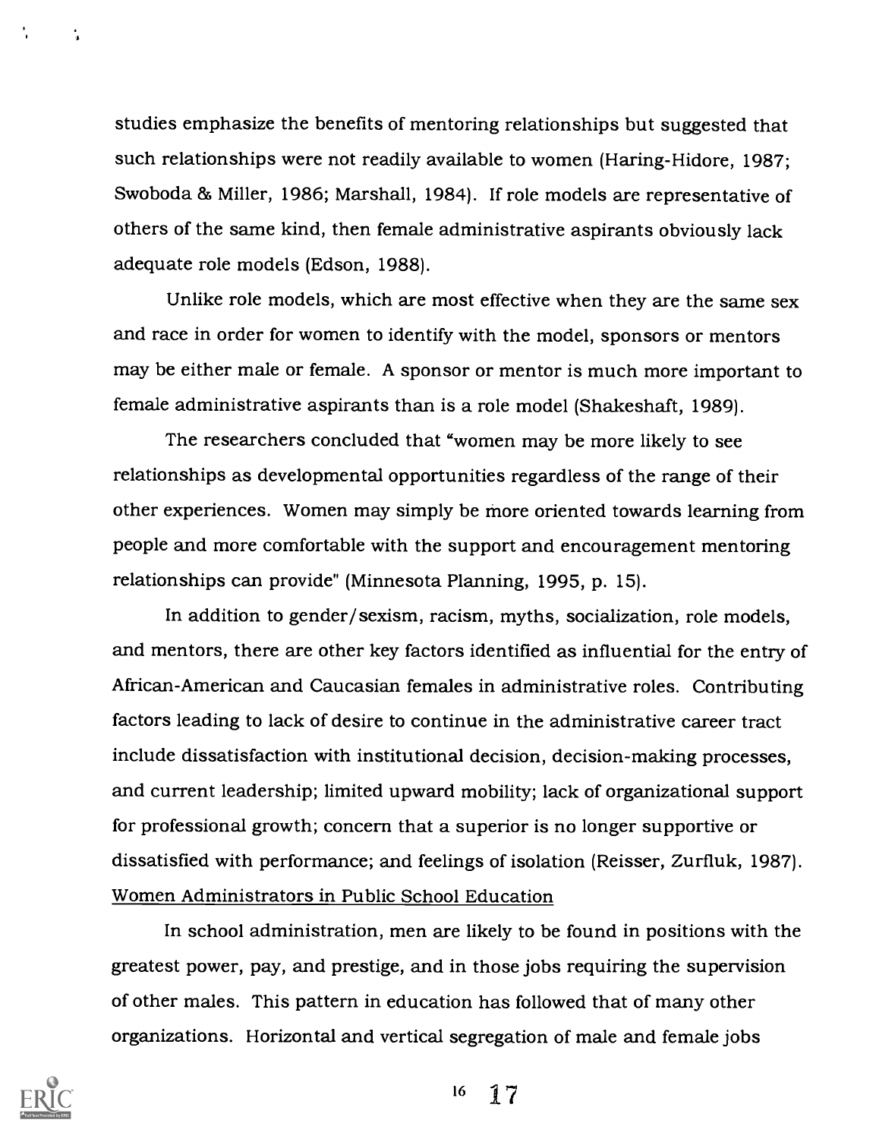studies emphasize the benefits of mentoring relationships but suggested that such relationships were not readily available to women (Haring-Hidore, 1987; Swoboda & Miller, 1986; Marshall, 1984). If role models are representative of others of the same kind, then female administrative aspirants obviously lack adequate role models (Edson, 1988).

Unlike role models, which are most effective when they are the same sex and race in order for women to identify with the model, sponsors or mentors may be either male or female. A sponsor or mentor is much more important to female administrative aspirants than is a role model (Shakeshaft, 1989).

The researchers concluded that "women may be more likely to see relationships as developmental opportunities regardless of the range of their other experiences. Women may simply be more oriented towards learning from people and more comfortable with the support and encouragement mentoring relationships can provide" (Minnesota Planning, 1995, p. 15).

In addition to gender/sexism, racism, myths, socialization, role models, and mentors, there are other key factors identified as influential for the entry of African-American and Caucasian females in administrative roles. Contributing factors leading to lack of desire to continue in the administrative career tract include dissatisfaction with institutional decision, decision-making processes, and current leadership; limited upward mobility; lack of organizational support for professional growth; concern that a superior is no longer supportive or dissatisfied with performance; and feelings of isolation (Reisser, Zurfluk, 1987). Women Administrators in Public School Education

In school administration, men are likely to be found in positions with the greatest power, pay, and prestige, and in those jobs requiring the supervision of other males. This pattern in education has followed that of many other organizations. Horizontal and vertical segregation of male and female jobs



t.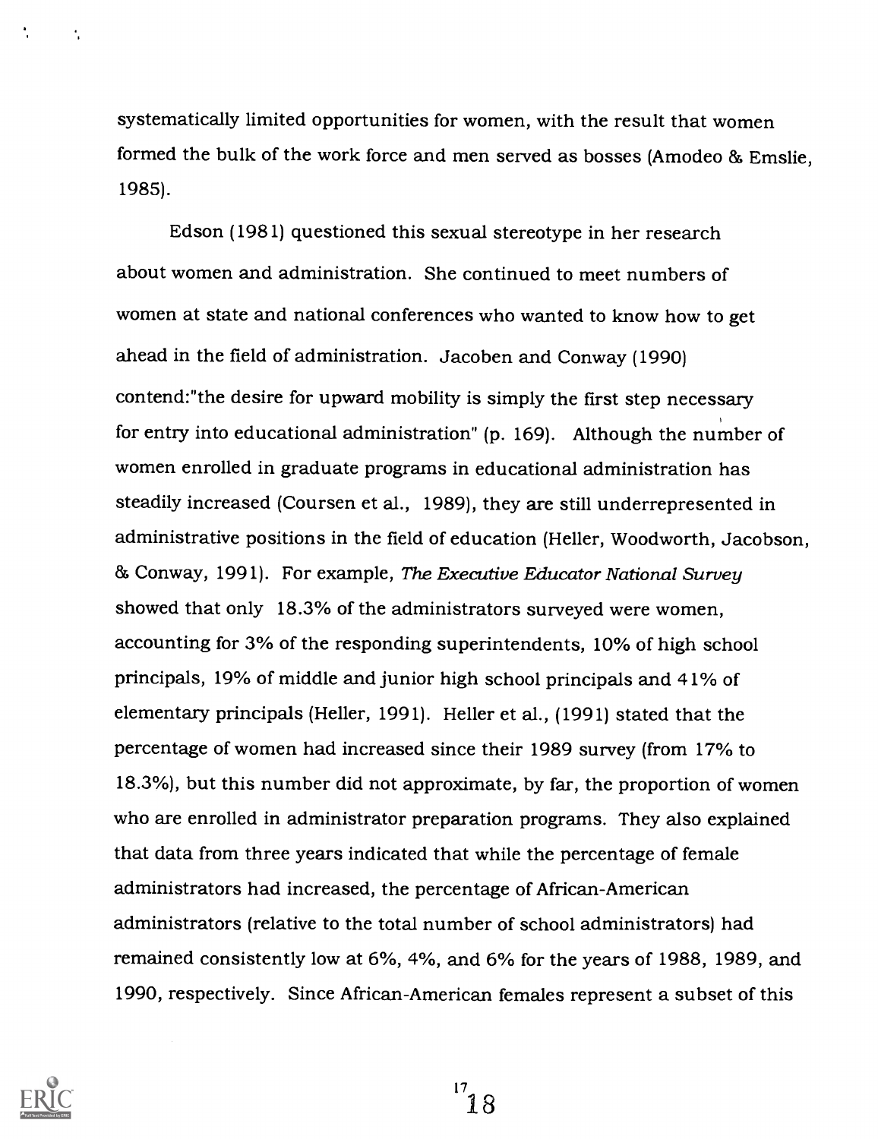systematically limited opportunities for women, with the result that women formed the bulk of the work force and men served as bosses (Amodeo & Emslie, 1985).

Edson (1981) questioned this sexual stereotype in her research about women and administration. She continued to meet numbers of women at state and national conferences who wanted to know how to get ahead in the field of administration. Jacoben and Conway (1990) contend:"the desire for upward mobility is simply the first step necessary for entry into educational administration" (p. 169). Although the number of women enrolled in graduate programs in educational administration has steadily increased (Coursen et al., 1989), they are still underrepresented in administrative positions in the field of education (Heller, Woodworth, Jacobson, 85 Conway, 1991). For example, The Executive Educator National Survey showed that only 18.3% of the administrators surveyed were women, accounting for 3% of the responding superintendents, 10% of high school principals, 19% of middle and junior high school principals and 41% of elementary principals (Heller, 1991). Heller et al., (1991) stated that the percentage of women had increased since their 1989 survey (from 17% to 18.3%), but this number did not approximate, by far, the proportion of women who are enrolled in administrator preparation programs. They also explained that data from three years indicated that while the percentage of female administrators had increased, the percentage of African-American administrators (relative to the total number of school administrators) had remained consistently low at 6%, 4%, and 6% for the years of 1988, 1989, and 1990, respectively. Since African-American females represent a subset of this



÷

 $\mathbf{1}^7$  18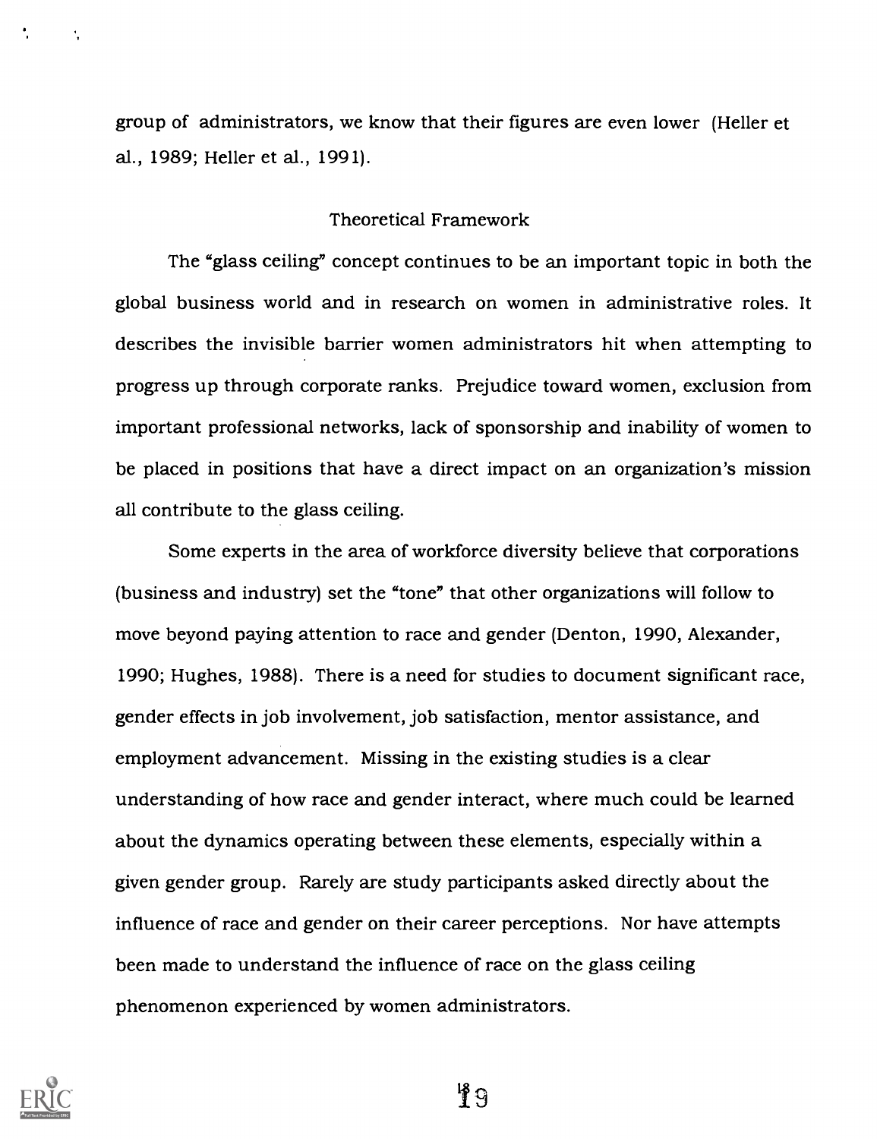group of administrators, we know that their figures are even lower (Heller et al., 1989; Heller et al., 1991).

### Theoretical Framework

The "glass ceiling" concept continues to be an important topic in both the global business world and in research on women in administrative roles. It describes the invisible barrier women administrators hit when attempting to progress up through corporate ranks. Prejudice toward women, exclusion from important professional networks, lack of sponsorship and inability of women to be placed in positions that have a direct impact on an organization's mission all contribute to the glass ceiling.

Some experts in the area of workforce diversity believe that corporations (business and industry) set the "tone" that other organizations will follow to move beyond paying attention to race and gender (Denton, 1990, Alexander, 1990; Hughes, 1988). There is a need for studies to document significant race, gender effects in job involvement, job satisfaction, mentor assistance, and employment advancement. Missing in the existing studies is a clear understanding of how race and gender interact, where much could be learned about the dynamics operating between these elements, especially within a given gender group. Rarely are study participants asked directly about the influence of race and gender on their career perceptions. Nor have attempts been made to understand the influence of race on the glass ceiling phenomenon experienced by women administrators.



 $\ddot{\phantom{a}}$ 

မှ ဂျ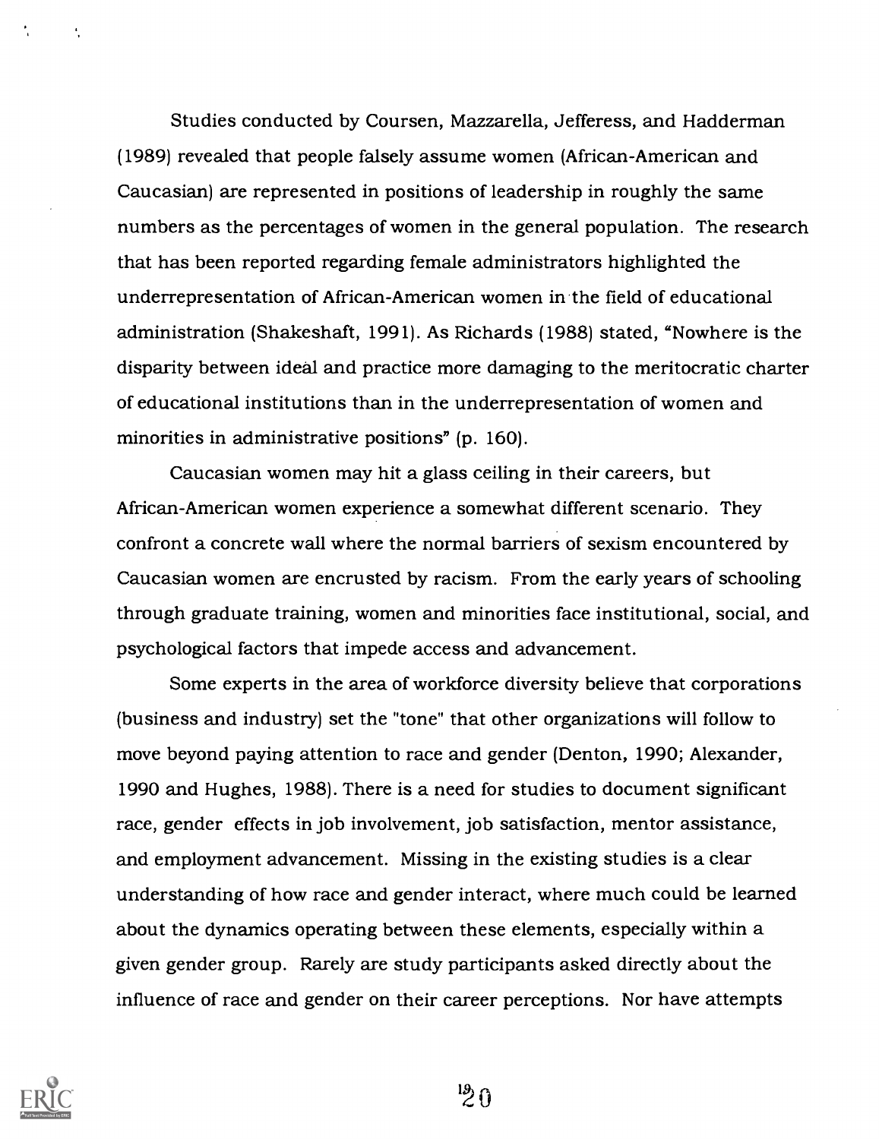Studies conducted by Coursen, Mazzarella, Jefferess, and Hadderman (1989) revealed that people falsely assume women (African-American and Caucasian) are represented in positions of leadership in roughly the same numbers as the percentages of women in the general population. The research that has been reported regarding female administrators highlighted the underrepresentation of African-American women in the field of educational administration (Shakeshaft, 1991). As Richards (1988) stated, "Nowhere is the disparity between ideal and practice more damaging to the meritocratic charter of educational institutions than in the underrepresentation of women and minorities in administrative positions" (p. 160).

Caucasian women may hit a glass ceiling in their careers, but African-American women experience a somewhat different scenario. They confront a concrete wall where the normal barriers of sexism encountered by Caucasian women are encrusted by racism. From the early years of schooling through graduate training, women and minorities face institutional, social, and psychological factors that impede access and advancement.

Some experts in the area of workforce diversity believe that corporations (business and industry) set the "tone" that other organizations will follow to move beyond paying attention to race and gender (Denton, 1990; Alexander, 1990 and Hughes, 1988). There is a need for studies to document significant race, gender effects in job involvement, job satisfaction, mentor assistance, and employment advancement. Missing in the existing studies is a clear understanding of how race and gender interact, where much could be learned about the dynamics operating between these elements, especially within a given gender group. Rarely are study participants asked directly about the influence of race and gender on their career perceptions. Nor have attempts



 $\frac{19}{2}$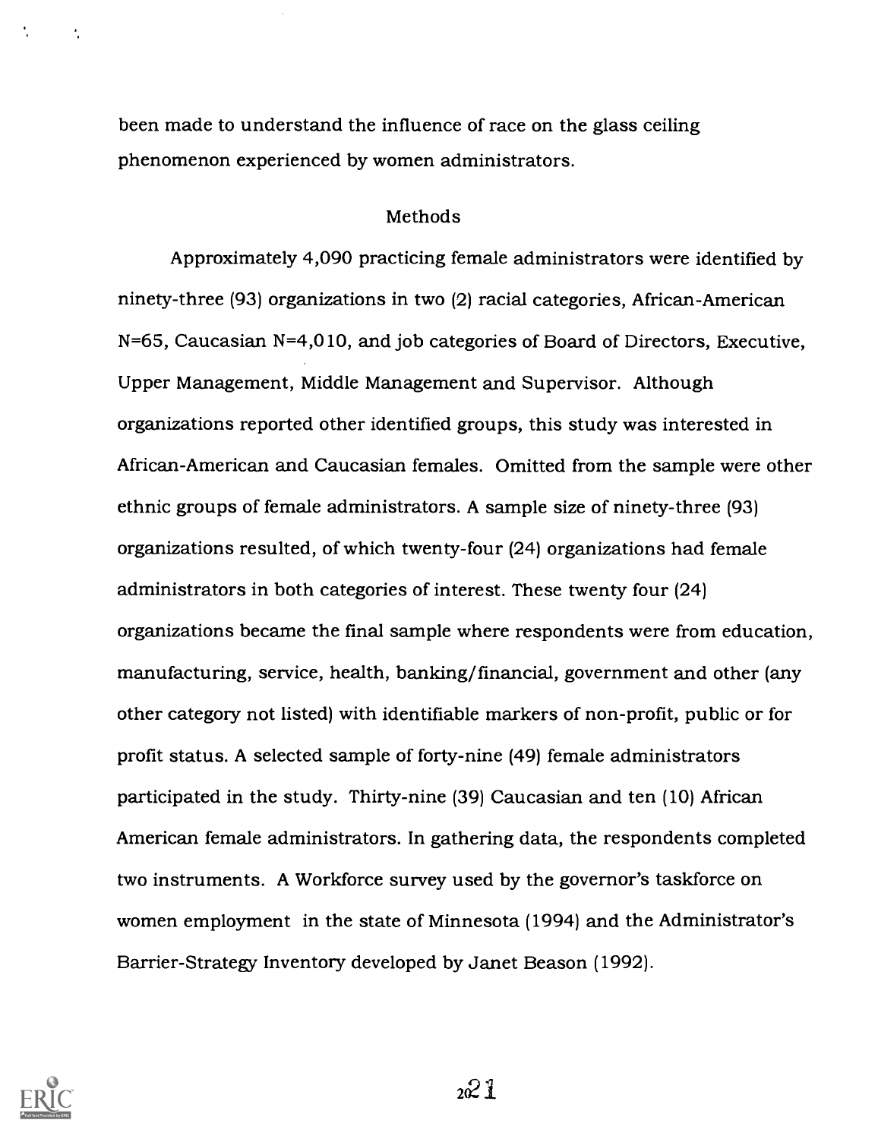been made to understand the influence of race on the glass ceiling phenomenon experienced by women administrators.

### Methods

Approximately 4,090 practicing female administrators were identified by ninety-three (93) organizations in two (2) racial categories, African-American N=65, Caucasian N=4,010, and job categories of Board of Directors, Executive, Upper Management, Middle Management and Supervisor. Although organizations reported other identified groups, this study was interested in African-American and Caucasian females. Omitted from the sample were other ethnic groups of female administrators. A sample size of ninety-three (93) organizations resulted, of which twenty-four (24) organizations had female administrators in both categories of interest. These twenty four (24) organizations became the final sample where respondents were from education, manufacturing, service, health, banking/financial, government and other (any other category not listed) with identifiable markers of non-profit, public or for profit status. A selected sample of forty-nine (49) female administrators participated in the study. Thirty-nine (39) Caucasian and ten (10) African American female administrators. In gathering data, the respondents completed two instruments. A Workforce survey used by the governor's taskforce on women employment in the state of Minnesota (1994) and the Administrator's Barrier-Strategy Inventory developed by Janet Beason (1992).



 $\overline{\mathcal{L}}$ 

 $2^{2}1$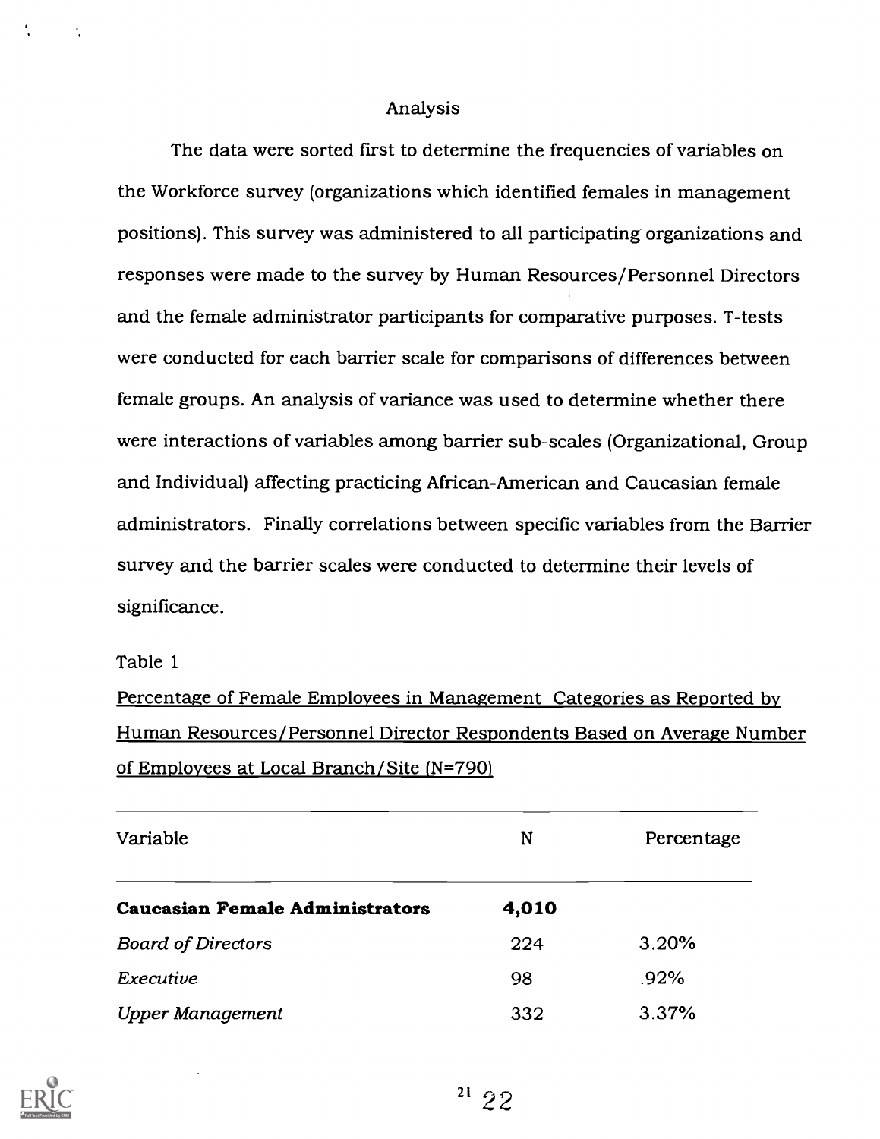### Analysis

The data were sorted first to determine the frequencies of variables on the Workforce survey (organizations which identified females in management positions). This survey was administered to all participating organizations and responses were made to the survey by Human Resources/Personnel Directors and the female administrator participants for comparative purposes. T-tests were conducted for each barrier scale for comparisons of differences between female groups. An analysis of variance was used to determine whether there were interactions of variables among barrier sub-scales (Organizational, Group and Individual) affecting practicing African-American and Caucasian female administrators. Finally correlations between specific variables from the Barrier survey and the barrier scales were conducted to determine their levels of significance.

Table 1

Percentage of Female Employees in Management Categories as Reported by Human Resources/Personnel Director Respondents Based on Average Number of Employees at Local Branch/Site (N=790)

| Variable                               | N     | Percentage |
|----------------------------------------|-------|------------|
| <b>Caucasian Female Administrators</b> | 4,010 |            |
| <b>Board of Directors</b>              | 224   | 3.20%      |
| Executive                              | 98    | $.92\%$    |
| <b>Upper Management</b>                | 332   | 3.37%      |

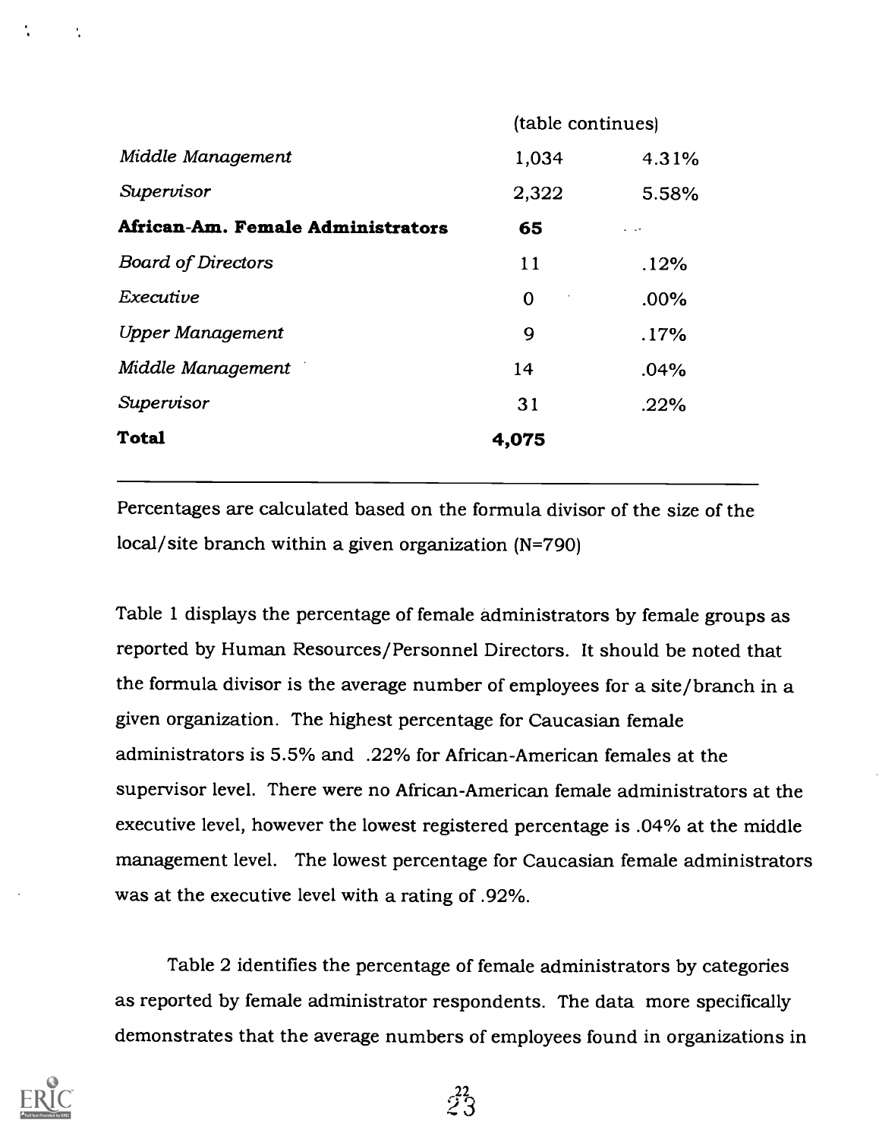| (table continues) |                      |
|-------------------|----------------------|
| 1,034             | 4.31%                |
| 2,322             | 5.58%                |
| 65                | $\sim$ $\sim$ $\sim$ |
| 11                | .12%                 |
| $\mathbf 0$       | $.00\%$              |
| 9                 | .17%                 |
| 14                | .04%                 |
| 31                | .22%                 |
| 4,075             |                      |
|                   |                      |

Percentages are calculated based on the formula divisor of the size of the local/site branch within a given organization (N=790)

Table 1 displays the percentage of female administrators by female groups as reported by Human Resources/Personnel Directors. It should be noted that the formula divisor is the average number of employees for a site/branch in a given organization. The highest percentage for Caucasian female administrators is 5.5% and .22% for African-American females at the supervisor level. There were no African-American female administrators at the executive level, however the lowest registered percentage is .04% at the middle management level. The lowest percentage for Caucasian female administrators was at the executive level with a rating of .92%.

Table 2 identifies the percentage of female administrators by categories as reported by female administrator respondents. The data more specifically demonstrates that the average numbers of employees found in organizations in



÷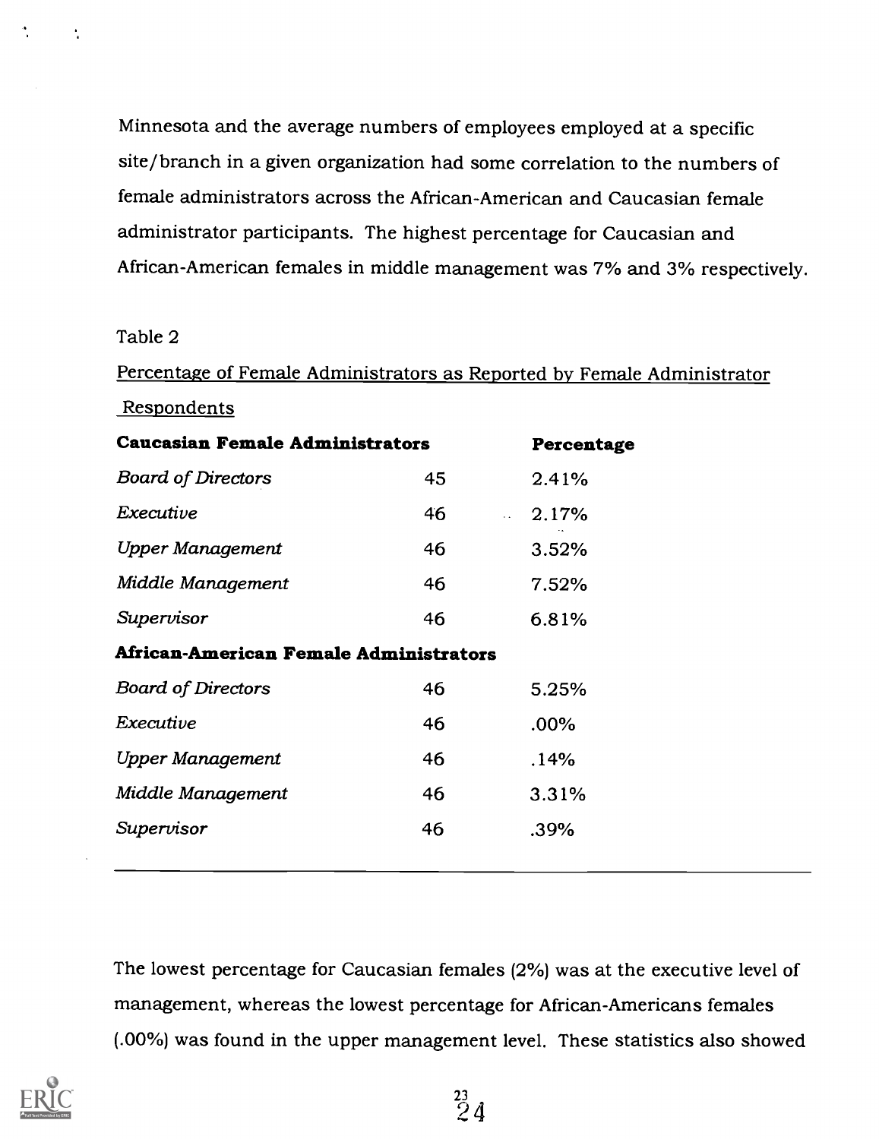Minnesota and the average numbers of employees employed at a specific site/branch in a given organization had some correlation to the numbers of female administrators across the African-American and Caucasian female administrator participants. The highest percentage for Caucasian and African-American females in middle management was 7% and 3% respectively.

Table 2

÷,

Percentage of Female Administrators as Reported by Female Administrator Respondents Caucasian Female Administrators Percentage Board of Directors 45 2.41%  $\textbf{Execute}$  and  $\textbf{46}$  and  $\textbf{2.17\%}$ Upper Management 46 3.52% Middle Management 46 7.52% Supervisor 46 6.81% African-American Female Administrators Board of Directors 46 5.25% Executive 46 .00% Upper Management 46 .14% Middle Management 46 3.31% Supervisor 46 .39%

The lowest percentage for Caucasian females (2%) was at the executive level of management, whereas the lowest percentage for African-Americans females (.00%) was found in the upper management level. These statistics also showed

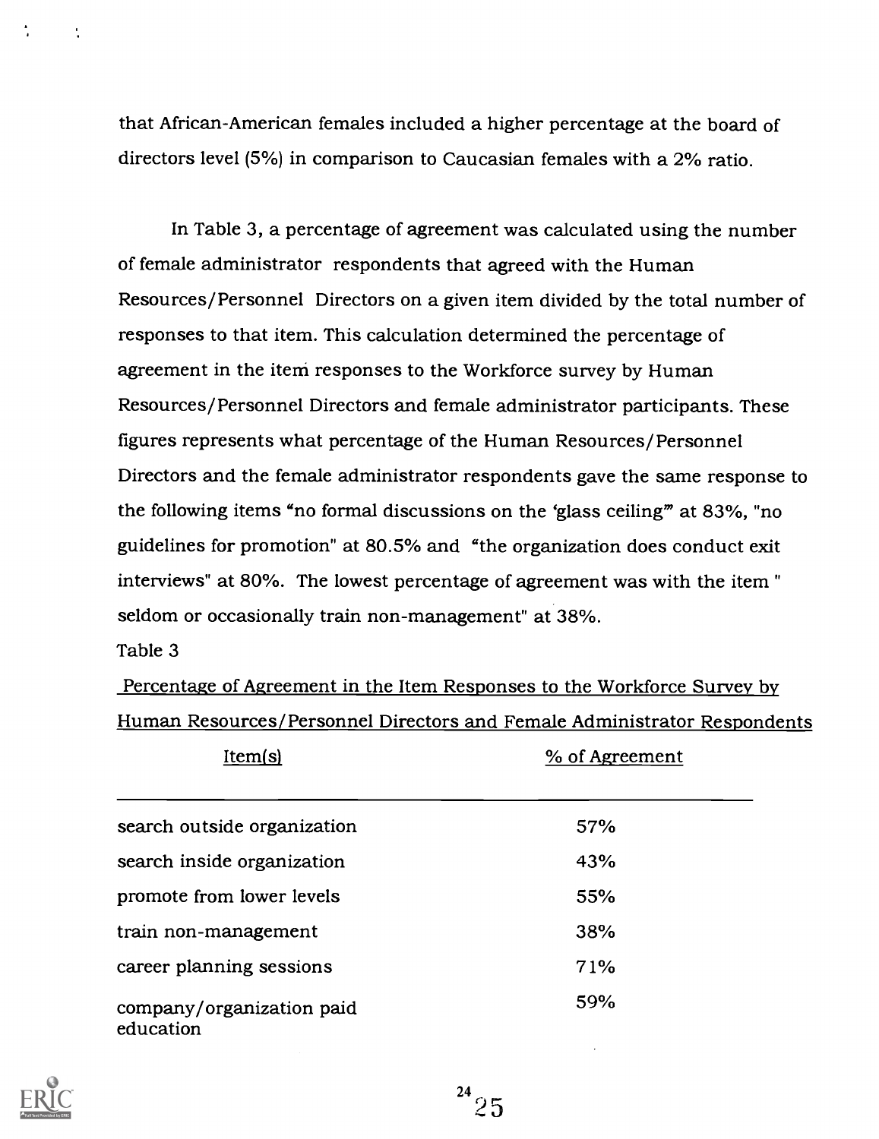that African-American females included a higher percentage at the board of directors level (5%) in comparison to Caucasian females with a 2% ratio.

In Table 3, a percentage of agreement was calculated using the number of female administrator respondents that agreed with the Human Resources/Personnel Directors on a given item divided by the total number of responses to that item. This calculation determined the percentage of agreement in the item responses to the Workforce survey by Human Resources/Personnel Directors and female administrator participants. These figures represents what percentage of the Human Resources/Personnel Directors and the female administrator respondents gave the same response to the following items "no formal discussions on the 'glass ceiling" at 83%, "no guidelines for promotion" at 80.5% and "the organization does conduct exit interviews" at 80%. The lowest percentage of agreement was with the item " seldom or occasionally train non-management" at 38%.

### Table 3

÷

Percentage of Agreement in the Item Responses to the Workforce Survey by Human Resources/Personnel Directors and Female Administrator Respondents

| Item(s)                                | % of Agreement |
|----------------------------------------|----------------|
| search outside organization            | 57%            |
| search inside organization             | 43%            |
| promote from lower levels              | 55%            |
| train non-management                   | 38%            |
| career planning sessions               | 71%            |
| company/organization paid<br>education | 59%            |

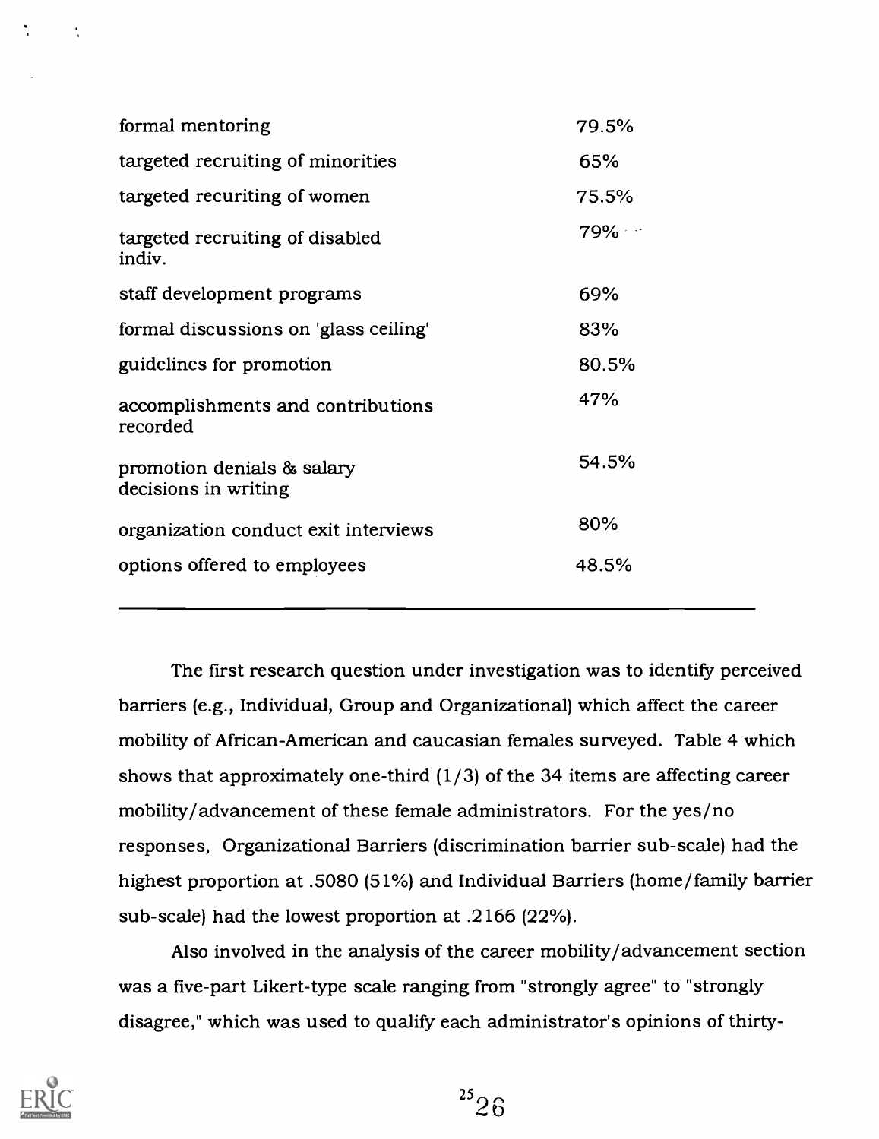| formal mentoring                                   | 79.5%  |
|----------------------------------------------------|--------|
| targeted recruiting of minorities                  | 65%    |
| targeted recuriting of women                       | 75.5%  |
| targeted recruiting of disabled<br>indiv.          | $79\%$ |
| staff development programs                         | 69%    |
| formal discussions on 'glass ceiling'              | 83%    |
| guidelines for promotion                           | 80.5%  |
| accomplishments and contributions<br>recorded      | 47%    |
| promotion denials & salary<br>decisions in writing | 54.5%  |
| organization conduct exit interviews               | 80%    |
| options offered to employees                       | 48.5%  |
|                                                    |        |

The first research question under investigation was to identify perceived barriers (e.g., Individual, Group and Organizational) which affect the career mobility of African-American and caucasian females surveyed. Table 4 which shows that approximately one-third (1/3) of the 34 items are affecting career mobility/advancement of these female administrators. For the yes/no responses, Organizational Barriers (discrimination barrier sub-scale) had the highest proportion at .5080 (51%) and Individual Barriers (home/family barrier sub-scale) had the lowest proportion at .2166 (22%).

Also involved in the analysis of the career mobility/advancement section was a five-part Likert-type scale ranging from "strongly agree" to "strongly disagree," which was used to qualify each administrator's opinions of thirty-

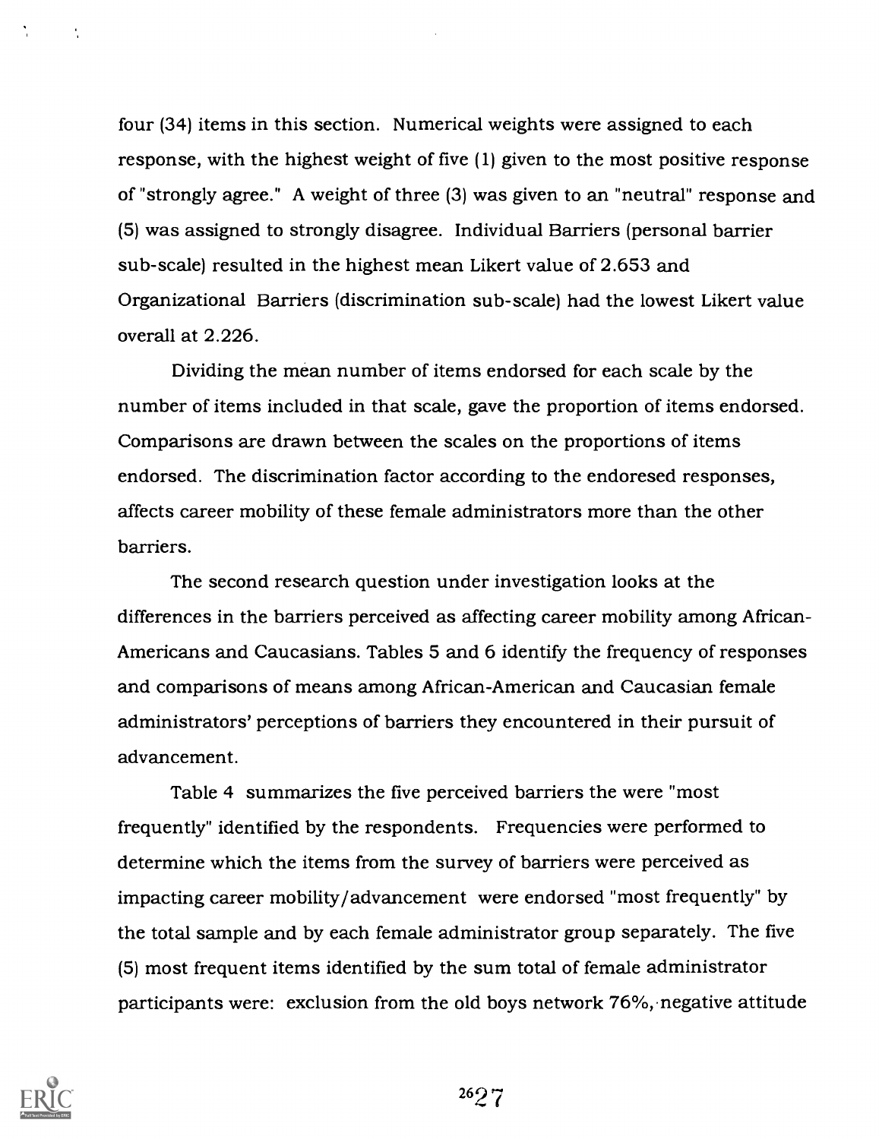four (34) items in this section. Numerical weights were assigned to each response, with the highest weight of five (1) given to the most positive response of "strongly agree." A weight of three (3) was given to an "neutral" response and (5) was assigned to strongly disagree. Individual Barriers (personal barrier sub-scale) resulted in the highest mean Likert value of 2.653 and Organizational Barriers (discrimination sub-scale) had the lowest Likert value overall at 2.226.

Dividing the mean number of items endorsed for each scale by the number of items included in that scale, gave the proportion of items endorsed. Comparisons are drawn between the scales on the proportions of items endorsed. The discrimination factor according to the endoresed responses, affects career mobility of these female administrators more than the other barriers.

The second research question under investigation looks at the differences in the barriers perceived as affecting career mobility among African-Americans and Caucasians. Tables 5 and 6 identify the frequency of responses and comparisons of means among African-American and Caucasian female administrators' perceptions of barriers they encountered in their pursuit of advancement.

Table 4 summarizes the five perceived barriers the were "most frequently" identified by the respondents. Frequencies were performed to determine which the items from the survey of barriers were perceived as impacting career mobility/advancement were endorsed "most frequently" by the total sample and by each female administrator group separately. The five (5) most frequent items identified by the sum total of female administrator participants were: exclusion from the old boys network 76%, negative attitude



 $\mathbf{r}_i$ 

2627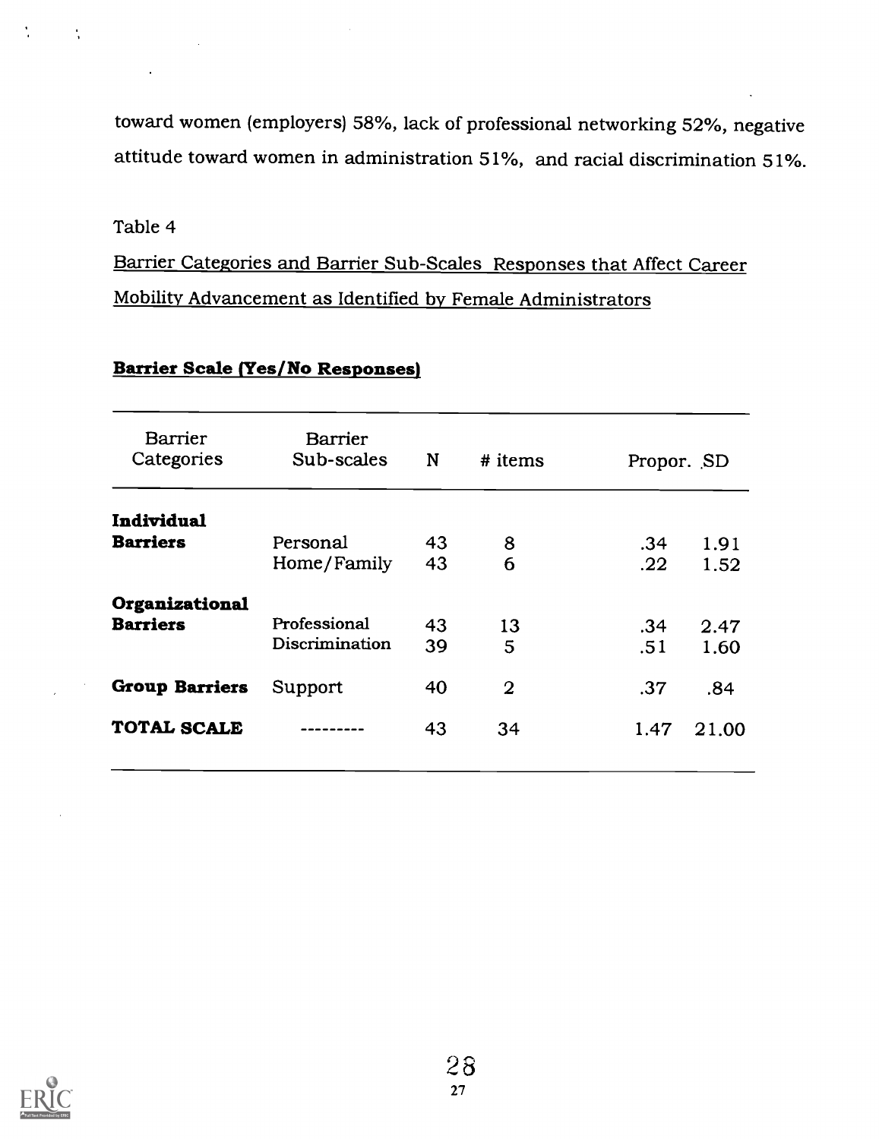toward women (employers) 58%, lack of professional networking 52%, negative attitude toward women in administration 51%, and racial discrimination 51%.

### Table 4

 $\frac{1}{2}$ 

Barrier Categories and Barrier Sub-Scales Responses that Affect Career Mobility Advancement as Identified by Female Administrators

| <b>Barrier</b>        | <b>Barrier</b> |    |                |            |       |
|-----------------------|----------------|----|----------------|------------|-------|
| Categories            | Sub-scales     | N  | $#$ items      | Propor. SD |       |
| Individual            |                |    |                |            |       |
| <b>Barriers</b>       | Personal       | 43 | 8              | .34        | 1.91  |
|                       | Home/Family    | 43 | 6              | .22        | 1.52  |
| Organizational        |                |    |                |            |       |
| <b>Barriers</b>       | Professional   | 43 | 13             | .34        | 2.47  |
|                       | Discrimination | 39 | 5              | .51        | 1.60  |
| <b>Group Barriers</b> | Support        | 40 | $\overline{2}$ | .37        | .84   |
| <b>TOTAL SCALE</b>    |                | 43 | 34             | 1.47       | 21.00 |
|                       |                |    |                |            |       |

### Barrier Scale (Yes/No Responses)

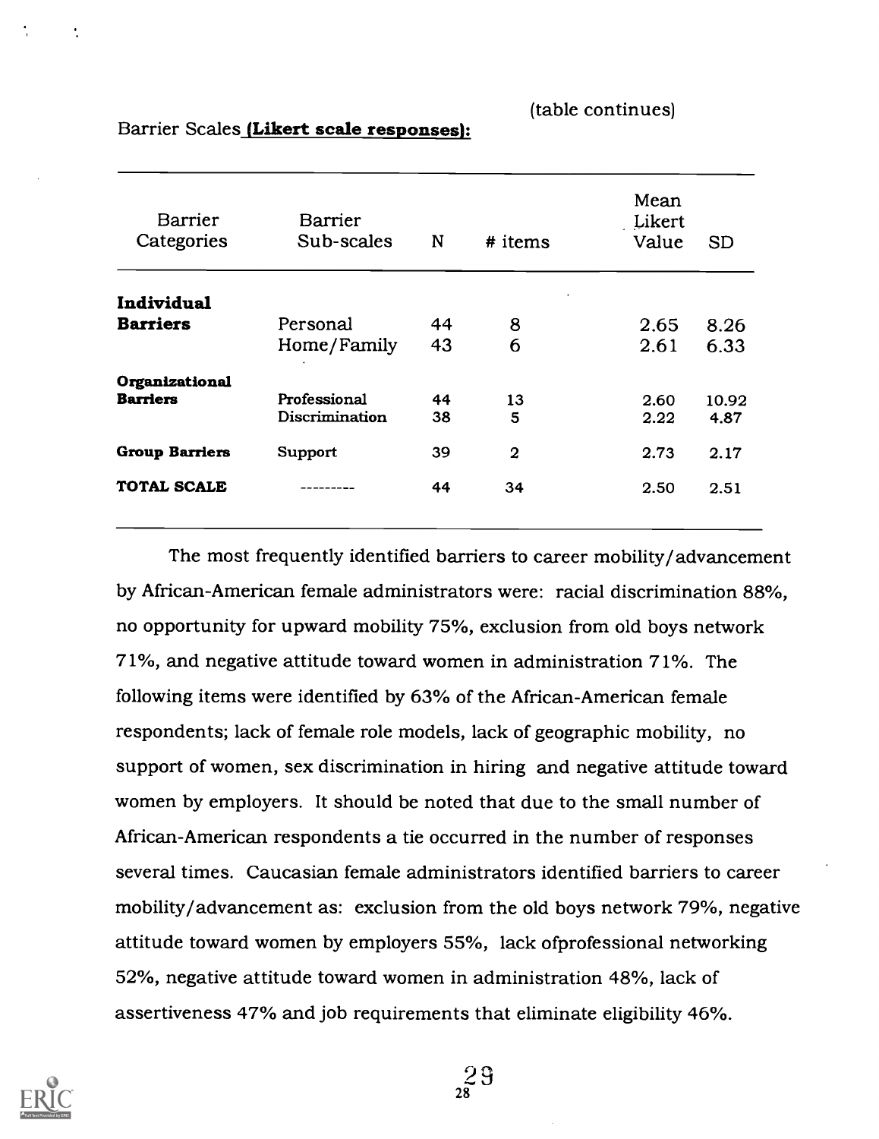(table continues)

| <b>Barrier</b><br>Categories | <b>Barrier</b><br>Sub-scales | N  | # items        | Mean<br>Likert<br>Value | <b>SD</b> |
|------------------------------|------------------------------|----|----------------|-------------------------|-----------|
|                              |                              |    |                |                         |           |
| Individual                   |                              |    |                |                         |           |
| <b>Barriers</b>              | Personal                     | 44 | 8              | 2.65                    | 8.26      |
|                              | Home/Family                  | 43 | 6              | 2.61                    | 6.33      |
| Organizational               |                              |    |                |                         |           |
| <b>Barriers</b>              | Professional                 | 44 | 13             | 2.60                    | 10.92     |
|                              | Discrimination               | 38 | 5              | 2.22                    | 4.87      |
| <b>Group Barriers</b>        | Support                      | 39 | $\overline{a}$ | 2.73                    | 2.17      |
| <b>TOTAL SCALE</b>           |                              | 44 | 34             | 2.50                    | 2.51      |
|                              |                              |    |                |                         |           |

Barrier Scales (Likert scale responses):

The most frequently identified barriers to career mobility/advancement by African-American female administrators were: racial discrimination 88%, no opportunity for upward mobility 75%, exclusion from old boys network 71%, and negative attitude toward women in administration 71%. The following items were identified by 63% of the African-American female respondents; lack of female role models, lack of geographic mobility, no support of women, sex discrimination in hiring and negative attitude toward women by employers. It should be noted that due to the small number of African-American respondents a tie occurred in the number of responses several times. Caucasian female administrators identified barriers to career mobility/advancement as: exclusion from the old boys network 79%, negative attitude toward women by employers 55%, lack ofprofessional networking 52%, negative attitude toward women in administration 48%, lack of assertiveness 47% and job requirements that eliminate eligibility 46%.



 $2^9$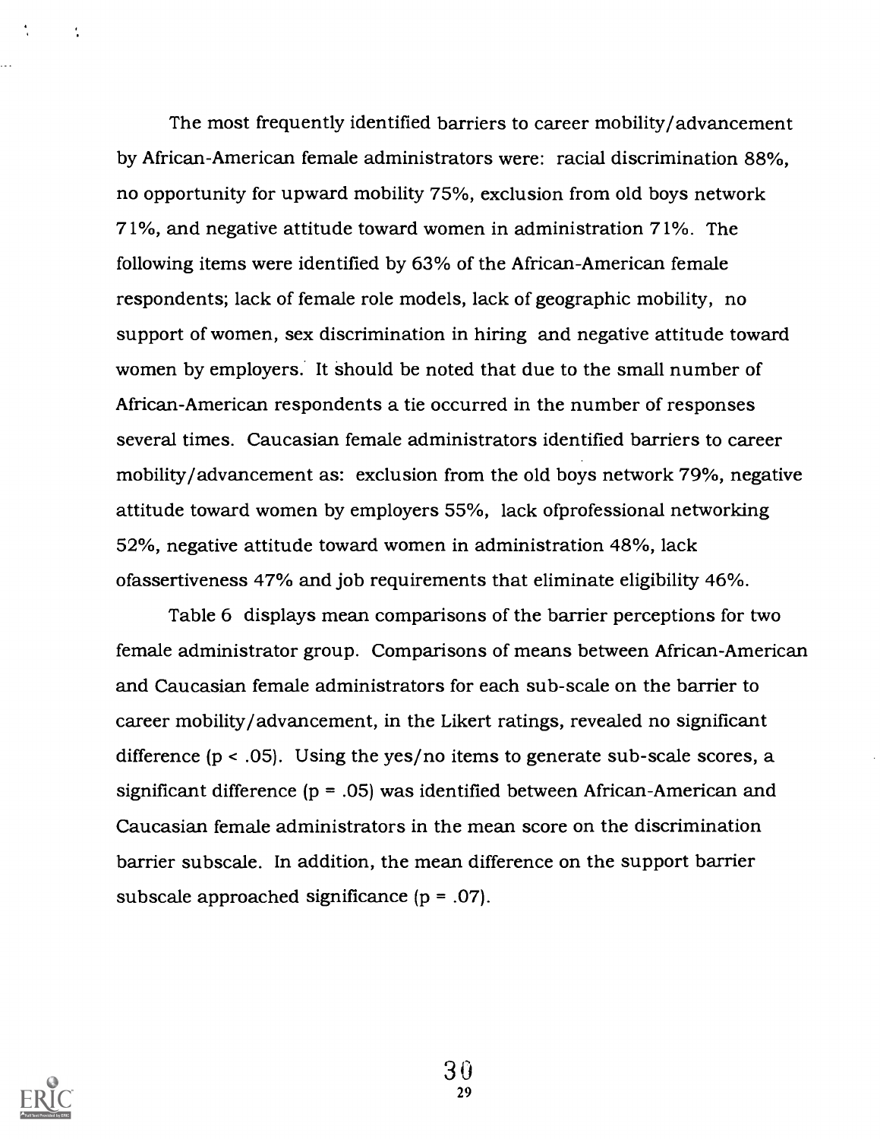The most frequently identified barriers to career mobility/advancement by African-American female administrators were: racial discrimination 88%, no opportunity for upward mobility 75%, exclusion from old boys network 71%, and negative attitude toward women in administration 71%. The following items were identified by 63% of the African-American female respondents; lack of female role models, lack of geographic mobility, no support of women, sex discrimination in hiring and negative attitude toward women by employers. It should be noted that due to the small number of African-American respondents a tie occurred in the number of responses several times. Caucasian female administrators identified barriers to career mobility/advancement as: exclusion from the old boys network 79%, negative attitude toward women by employers 55%, lack ofprofessional networking 52%, negative attitude toward women in administration 48%, lack ofassertiveness 47% and job requirements that eliminate eligibility 46%.

Table 6 displays mean comparisons of the barrier perceptions for two female administrator group. Comparisons of means between African-American and Caucasian female administrators for each sub-scale on the barrier to career mobility/advancement, in the Likert ratings, revealed no significant difference (p < .05). Using the yes/no items to generate sub-scale scores, a significant difference (p = .05) was identified between African-American and Caucasian female administrators in the mean score on the discrimination barrier subscale. In addition, the mean difference on the support barrier subscale approached significance (p = .07).



÷

3 0 29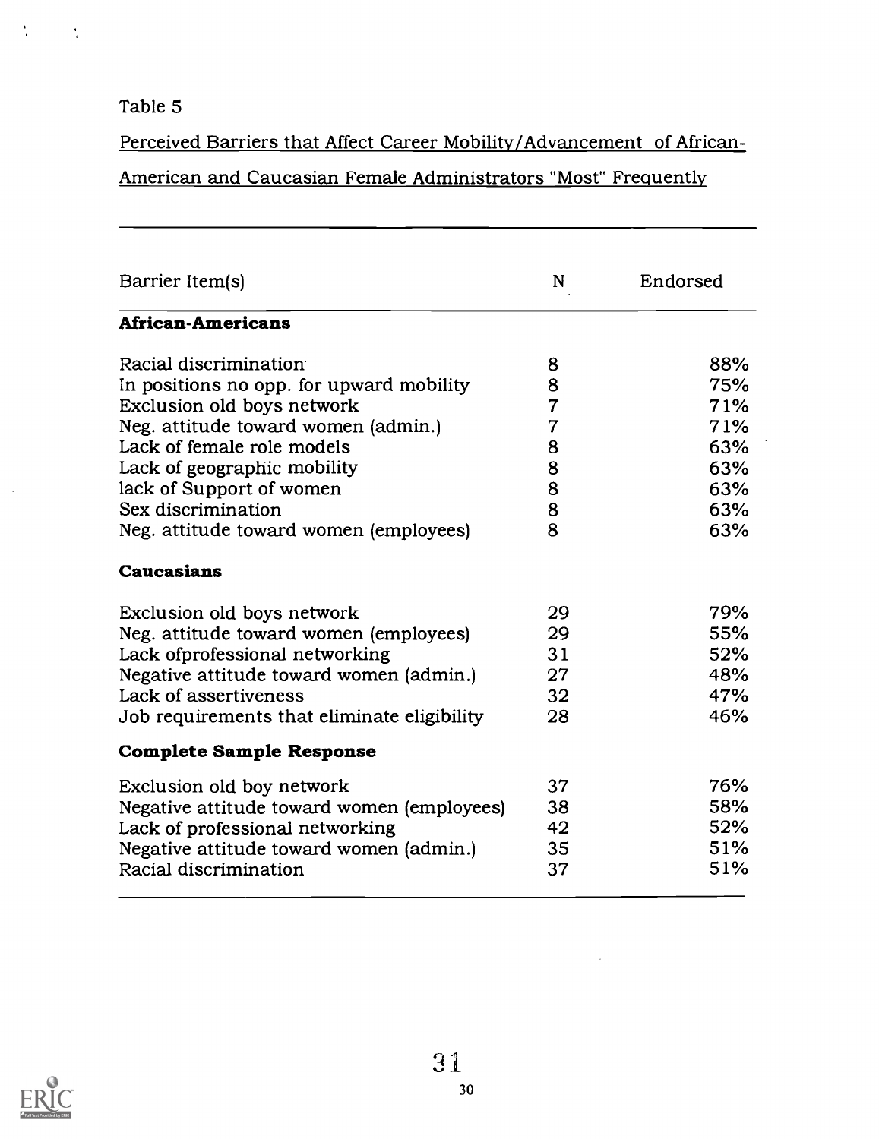### Table 5

 $\frac{1}{2}$ 

 $\sim$   $\sim$ 

Perceived Barriers that Affect Career Mobility/Advancement of African-

## American and Caucasian Female Administrators "Most" Frequently

| Barrier Item(s)                             | N              | Endorsed |
|---------------------------------------------|----------------|----------|
| <b>African-Americans</b>                    |                |          |
| Racial discrimination                       | 8              | 88%      |
| In positions no opp. for upward mobility    | 8              | 75%      |
| Exclusion old boys network                  | $\overline{7}$ | 71%      |
| Neg. attitude toward women (admin.)         | $\overline{7}$ | 71%      |
| Lack of female role models                  | 8              | 63%      |
| Lack of geographic mobility                 | 8              | 63%      |
| lack of Support of women                    | 8              | 63%      |
| Sex discrimination                          | 8              | 63%      |
| Neg. attitude toward women (employees)      | 8              | 63%      |
| <b>Caucasians</b>                           |                |          |
| Exclusion old boys network                  | 29             | 79%      |
| Neg. attitude toward women (employees)      | 29             | 55%      |
| Lack of professional networking             | 31             | 52%      |
| Negative attitude toward women (admin.)     | 27             | 48%      |
| Lack of assertiveness                       | 32             | 47%      |
| Job requirements that eliminate eligibility | 28             | 46%      |
| <b>Complete Sample Response</b>             |                |          |
| Exclusion old boy network                   | 37             | 76%      |
| Negative attitude toward women (employees)  | 38             | 58%      |
| Lack of professional networking             | 42             | 52%      |
| Negative attitude toward women (admin.)     | 35             | 51%      |
| Racial discrimination                       | 37             | 51%      |
|                                             |                |          |



 $\bar{\alpha}$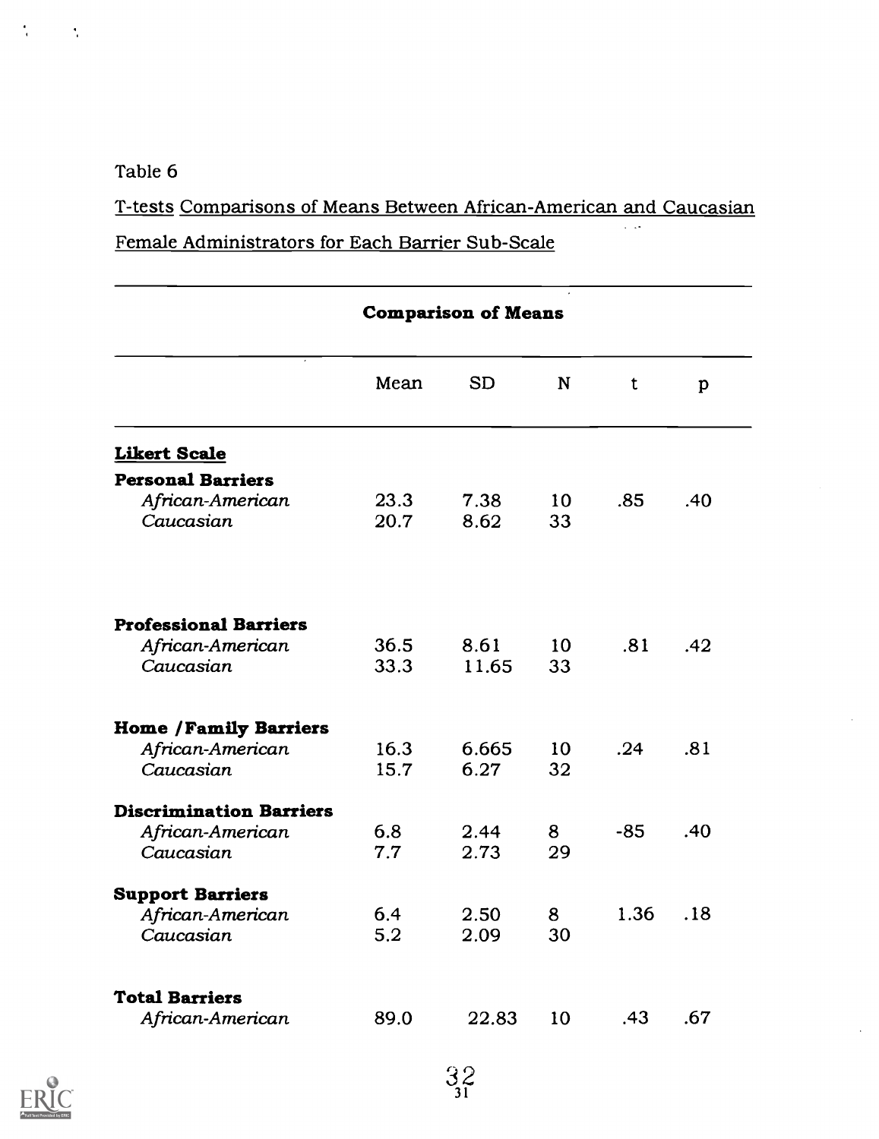### Table 6

 $\frac{1}{2}$ 

 $\frac{1}{4}$ 

T-tests Comparisons of Means Between African-American and Caucasian

Female Administrators for Each Barrier Sub-Scale

|                                |      | <b>Comparison of Means</b> |             |       |              |
|--------------------------------|------|----------------------------|-------------|-------|--------------|
|                                | Mean | <b>SD</b>                  | $\mathbf N$ | t     | $\mathbf{p}$ |
| <b>Likert Scale</b>            |      |                            |             |       |              |
| <b>Personal Barriers</b>       |      |                            |             |       |              |
| African-American               | 23.3 | 7.38                       | 10          | .85   | .40          |
| Caucasian                      | 20.7 | 8.62                       | 33          |       |              |
| <b>Professional Barriers</b>   |      |                            |             |       |              |
| African-American               | 36.5 | 8.61                       | 10          | .81   | .42          |
| Caucasian                      | 33.3 | 11.65                      | 33          |       |              |
| <b>Home / Family Barriers</b>  |      |                            |             |       |              |
| African-American               | 16.3 | 6.665                      | 10          | .24   | .81          |
| Caucasian                      | 15.7 | 6.27                       | 32          |       |              |
| <b>Discrimination Barriers</b> |      |                            |             |       |              |
| African-American               | 6.8  | 2.44                       | 8           | $-85$ | .40          |
| Caucasian                      | 7.7  | 2.73                       | 29          |       |              |
| <b>Support Barriers</b>        |      |                            |             |       |              |
| African-American               | 6.4  | 2.50                       | 8           | 1.36  | .18          |
| Caucasian                      | 5.2  | 2.09                       | 30          |       |              |
| <b>Total Barriers</b>          |      |                            |             |       |              |
| African-American               | 89.0 | 22.83                      | 10          | .43   | .67          |
|                                |      |                            |             |       |              |

 $32/31$ 

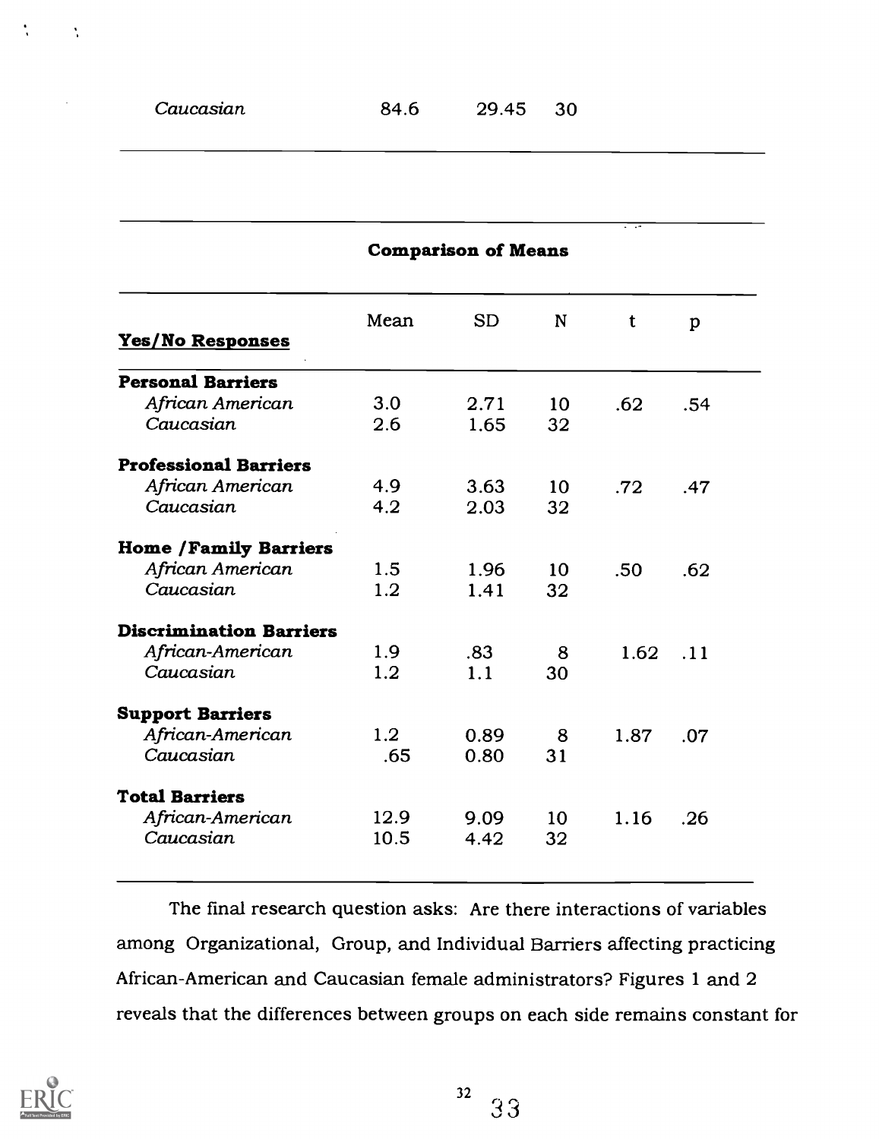$\mathbf{r}_i$ 

|                                |      | <b>Comparison of Means</b> |    |      |     |
|--------------------------------|------|----------------------------|----|------|-----|
|                                | Mean | <b>SD</b>                  | N  | t    | p   |
| Yes/No Responses               |      |                            |    |      |     |
| <b>Personal Barriers</b>       |      |                            |    |      |     |
| African American               | 3.0  | 2.71                       | 10 | .62  | .54 |
| Caucasian                      | 2.6  | 1.65                       | 32 |      |     |
| <b>Professional Barriers</b>   |      |                            |    |      |     |
| African American               | 4.9  | 3.63                       | 10 | .72  | .47 |
| Caucasian                      | 4.2  | 2.03                       | 32 |      |     |
| <b>Home /Family Barriers</b>   |      |                            |    |      |     |
| African American               | 1.5  | 1.96                       | 10 | .50  | .62 |
| Caucasian                      | 1.2  | 1.41                       | 32 |      |     |
| <b>Discrimination Barriers</b> |      |                            |    |      |     |
| African-American               | 1.9  | .83                        | 8  | 1.62 | .11 |
| Caucasian                      | 1.2  | 1.1                        | 30 |      |     |
| <b>Support Barriers</b>        |      |                            |    |      |     |
| African-American               | 1.2  | 0.89                       | 8  | 1.87 | .07 |
| Caucasian                      | .65  | 0.80                       | 31 |      |     |
| <b>Total Barriers</b>          |      |                            |    |      |     |
| African-American               | 12.9 | 9.09                       | 10 | 1.16 | .26 |
| Caucasian                      | 10.5 | 4.42                       | 32 |      |     |

The final research question asks: Are there interactions of variables among Organizational, Group, and Individual Barriers affecting practicing African-American and Caucasian female administrators? Figures 1 and 2 reveals that the differences between groups on each side remains constant for

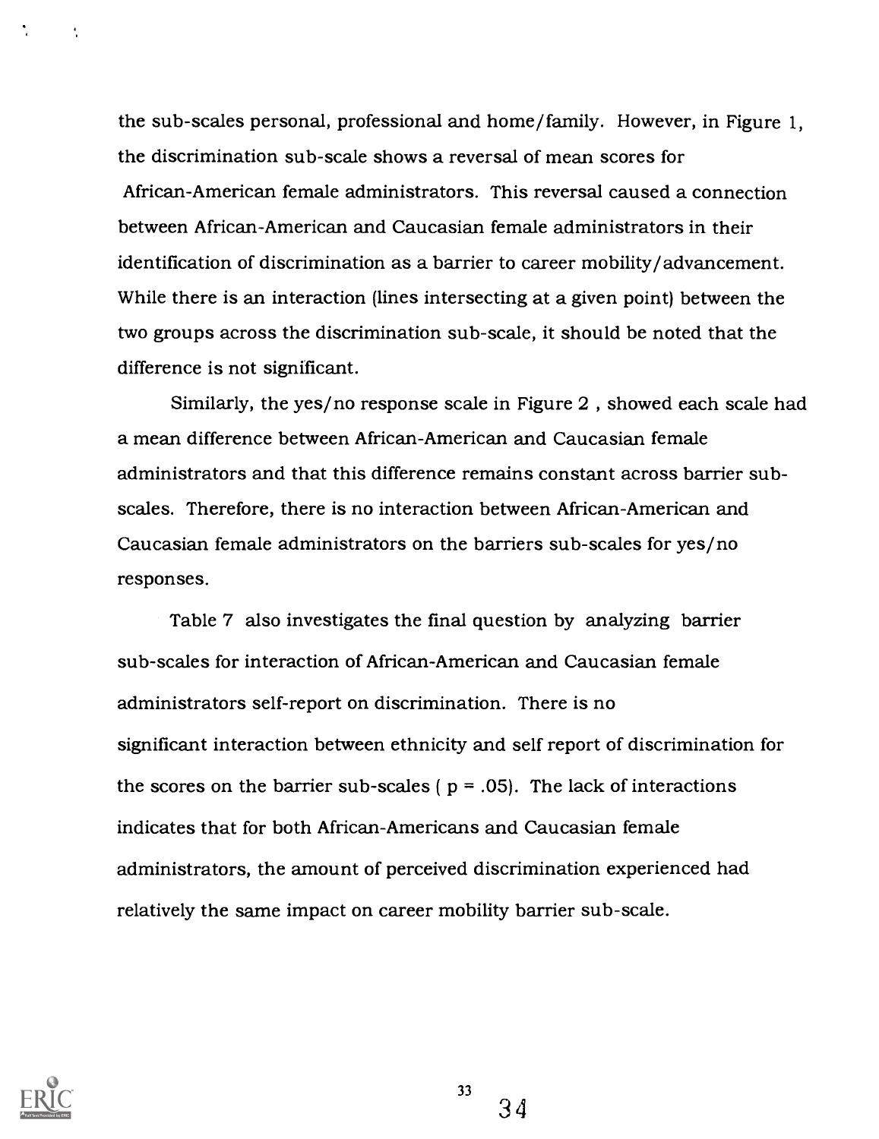the sub-scales personal, professional and home/family. However, in Figure 1, the discrimination sub-scale shows a reversal of mean scores for African-American female administrators. This reversal caused a connection between African-American and Caucasian female administrators in their identification of discrimination as a barrier to career mobility/advancement. While there is an interaction (lines intersecting at a given point) between the two groups across the discrimination sub-scale, it should be noted that the difference is not significant.

Similarly, the yes/no response scale in Figure 2 , showed each scale had a mean difference between African-American and Caucasian female administrators and that this difference remains constant across barrier subscales. Therefore, there is no interaction between African-American and Caucasian female administrators on the barriers sub-scales for yes/no responses.

Table 7 also investigates the final question by analyzing barrier sub-scales for interaction of African-American and Caucasian female administrators self-report on discrimination. There is no significant interaction between ethnicity and self report of discrimination for the scores on the barrier sub-scales ( $p = .05$ ). The lack of interactions indicates that for both African-Americans and Caucasian female administrators, the amount of perceived discrimination experienced had relatively the same impact on career mobility barrier sub-scale.



 $\overline{\mathbf{r}}$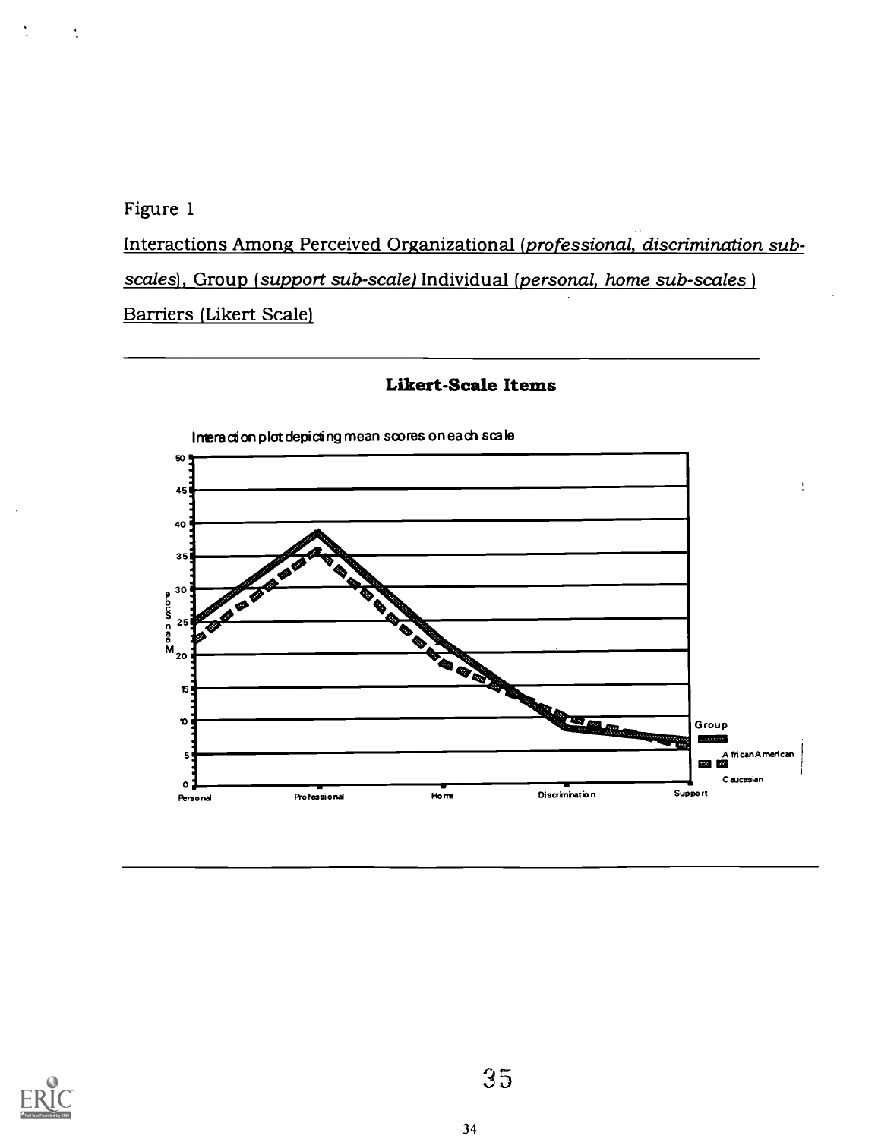Figure 1

Ň

Interactions Among Perceived Organizational (professional, discrimination subscales), Group (support sub-scale) Individual (personal, home sub-scales) Barriers (Likert Scale)



### Likert-Scale Items

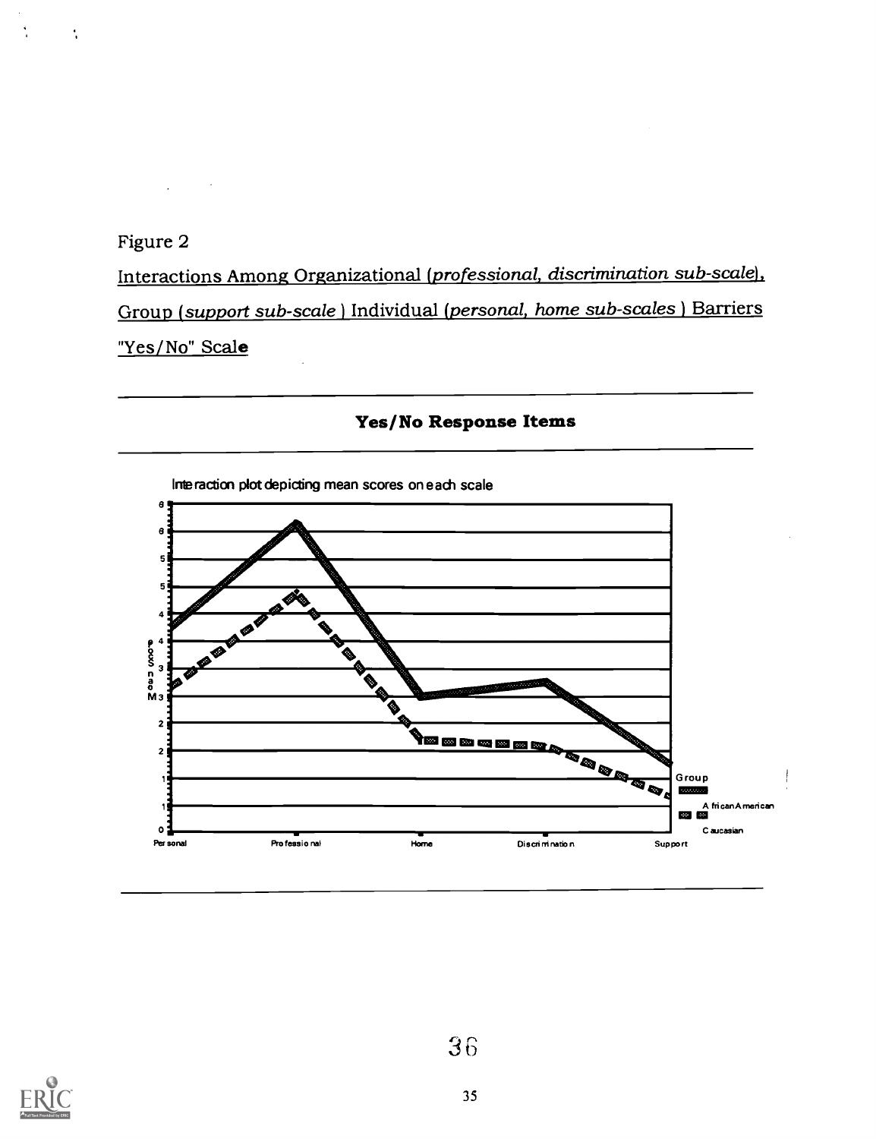Figure 2

 $\mathcal{L}$ 

 $\sim$   $\sim$ 

Â

 $\mathbf{r}_i$ 

Interactions Among Organizational (professional, discrimination sub-scale), Group (support sub-scale) Individual (personal, home sub-scales ) Barriers "Yes/No" Scale



Yes/No Response Items

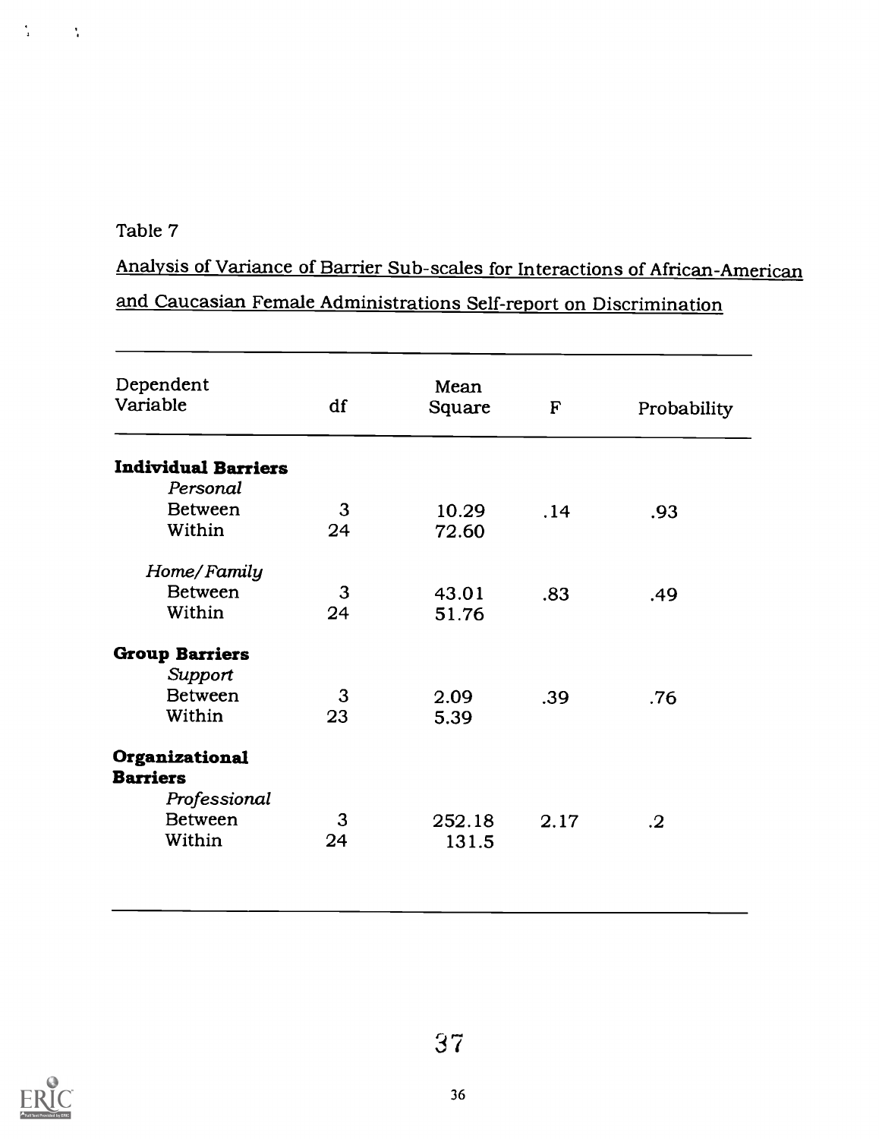### Table 7

 $\frac{1}{4}$ 

 $\sim 10$  M

Analysis of Variance of Barrier Sub-scales for Interactions of African-American and Caucasian Female Administrations Self-report on Discrimination

| .93        |
|------------|
|            |
|            |
|            |
|            |
| .49        |
|            |
|            |
|            |
| .76        |
|            |
|            |
|            |
|            |
|            |
| $\cdot$ .2 |

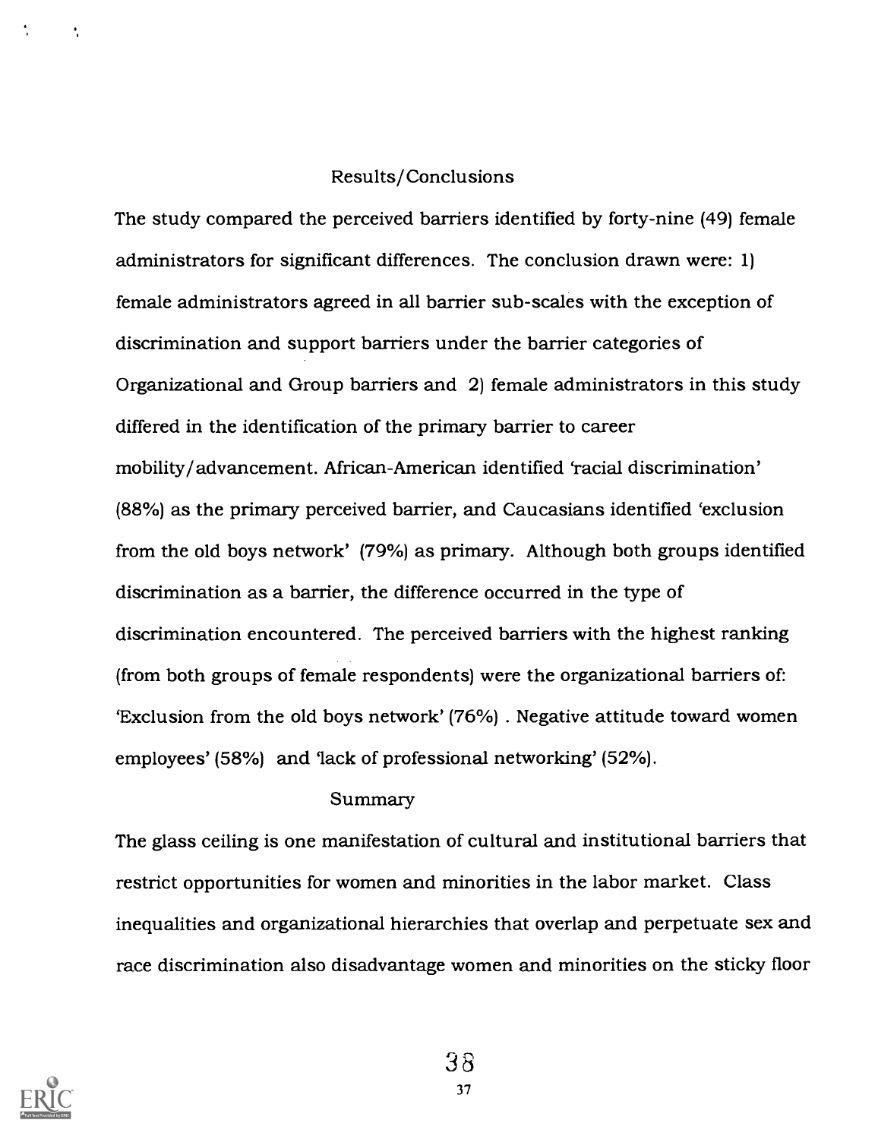### Results/Conclusions

The study compared the perceived barriers identified by forty-nine (49) female administrators for significant differences. The conclusion drawn were: 1) female administrators agreed in all barrier sub-scales with the exception of discrimination and support barriers under the barrier categories of Organizational and Group barriers and 2) female administrators in this study differed in the identification of the primary barrier to career mobility/advancement. African-American identified 'racial discrimination' (88%) as the primary perceived barrier, and Caucasians identified 'exclusion from the old boys network' (79%) as primary. Although both groups identified discrimination as a barrier, the difference occurred in the type of discrimination encountered. The perceived barriers with the highest ranking (from both groups of female respondents) were the organizational barriers of: 'Exclusion from the old boys network' (76%) . Negative attitude toward women employees' (58%) and 'lack of professional networking' (52%).

### Summary

The glass ceiling is one manifestation of cultural and institutional barriers that restrict opportunities for women and minorities in the labor market. Class inequalities and organizational hierarchies that overlap and perpetuate sex and race discrimination also disadvantage women and minorities on the sticky floor



÷,

38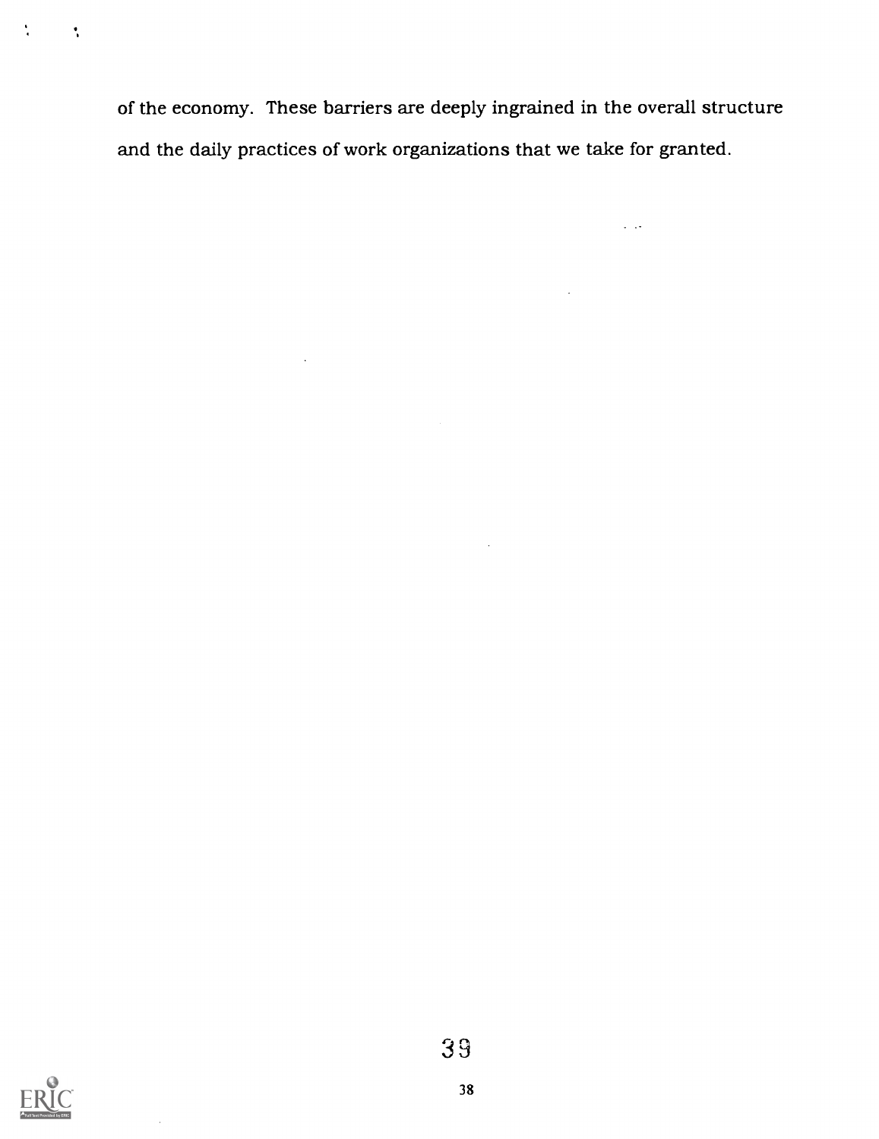of the economy. These barriers are deeply ingrained in the overall structure and the daily practices of work organizations that we take for granted.

 $\mathcal{A}$ 

 $\sim$ 

 $\sim$   $\sim$ 



 $\sim$ 

 $\frac{1}{4}$ 

 $\sim 10$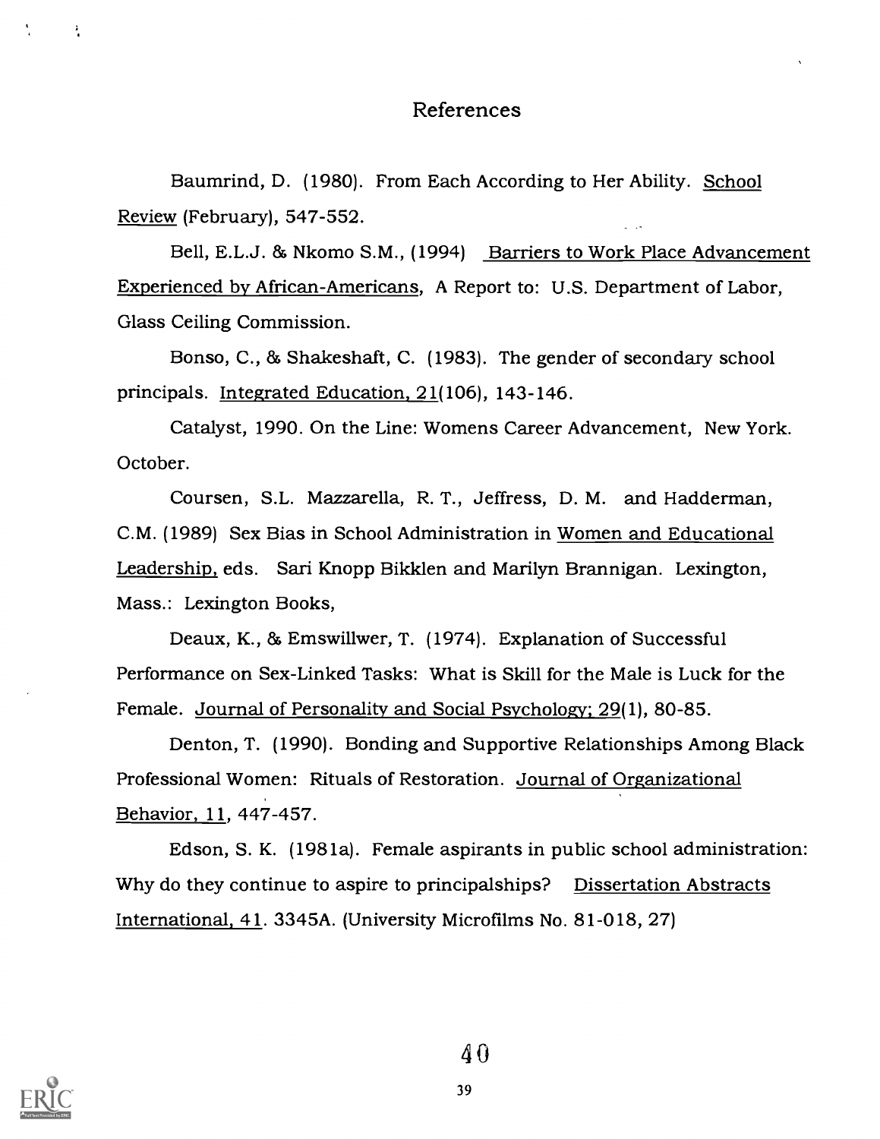### References

Baumrind, D. (1980). From Each According to Her Ability. School Review (February), 547-552.

Bell, E.L.J. & Nkomo S.M., (1994) Barriers to Work Place Advancement Experienced by African-Americans, A Report to: U.S. Department of Labor, Glass Ceiling Commission.

Bonso, C., 86 Shakeshaft, C. (1983). The gender of secondary school principals. Integrated Education, 21(106), 143-146.

Catalyst, 1990. On the Line: Womens Career Advancement, New York. October.

Coursen, S.L. Mazzarella, R. T., Jeffress, D. M. and Hadderman, C.M. (1989) Sex Bias in School Administration in Women and Educational Leadership, eds. Sari Knopp Bikklen and Marilyn Brannigan. Lexington, Mass.: Lexington Books,

Deaux, K., 86 Emswillwer, T. (1974). Explanation of Successful Performance on Sex-Linked Tasks: What is Skill for the Male is Luck for the Female. Journal of Personality and Social Psychology; 29(1), 80-85.

Denton, T. (1990). Bonding and Supportive Relationships Among Black Professional Women: Rituals of Restoration. Journal of Organizational Behavior, 11, 447-457.

Edson, S. K. (1981a). Female aspirants in public school administration: Why do they continue to aspire to principalships? Dissertation Abstracts International, 41. 3345A. (University Microfilms No. 81-018, 27)



 $\frac{1}{4}$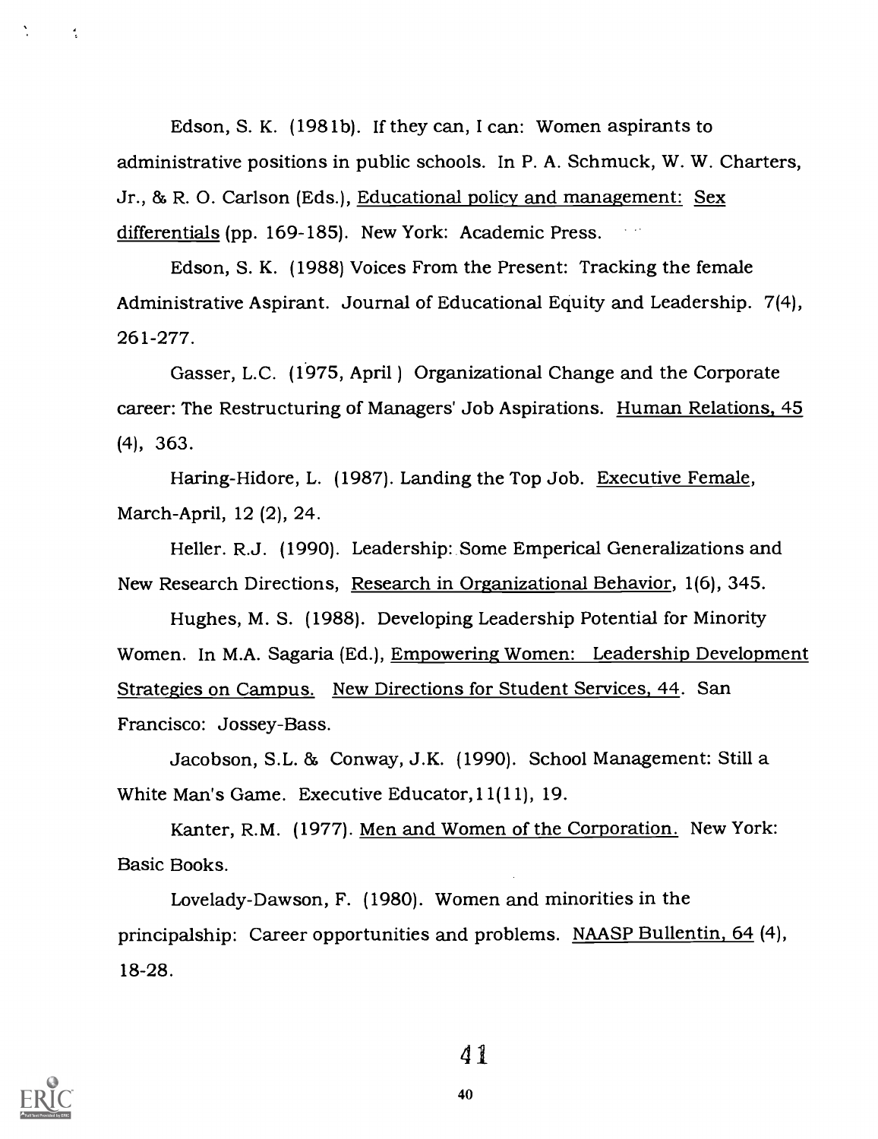Edson, S. K. (1981b). If they can, I can: Women aspirants to administrative positions in public schools. In P. A. Schmuck, W. W. Charters, Jr., 86 R. 0. Carlson (Eds.), Educational policy and management: Sex differentials (pp. 169-185). New York: Academic Press.

Edson, S. K. (1988) Voices From the Present: Tracking the female Administrative Aspirant. Journal of Educational Equity and Leadership. 7(4), 261-277.

Gasser, L.C. (1975, April ) Organizational Change and the Corporate career: The Restructuring of Managers' Job Aspirations. Human Relations, 45 (4), 363.

Haring-Hidore, L. (1987). Landing the Top Job. Executive Female, March-April, 12 (2), 24.

Heller. R.J. (1990). Leadership: Some Emperical Generalizations and New Research Directions, Research in Organizational Behavior, 1(6), 345.

Hughes, M. S. (1988). Developing Leadership Potential for Minority Women. In M.A. Sagaria (Ed.), Empowering Women: Leadership Development Strategies on Campus. New Directions for Student Services, 44. San Francisco: Jossey-Bass.

Jacobson, S.L. 86 Conway, J.K. (1990). School Management: Still a White Man's Game. Executive Educator,11(11), 19.

Kanter, R.M. (1977). Men and Women of the Corporation. New York: Basic Books.

Lovelady-Dawson, F. (1980). Women and minorities in the principalship: Career opportunities and problems. NAASP Bullentin, 64 (4), 18-28.



 $\frac{4}{5}$ 

4 1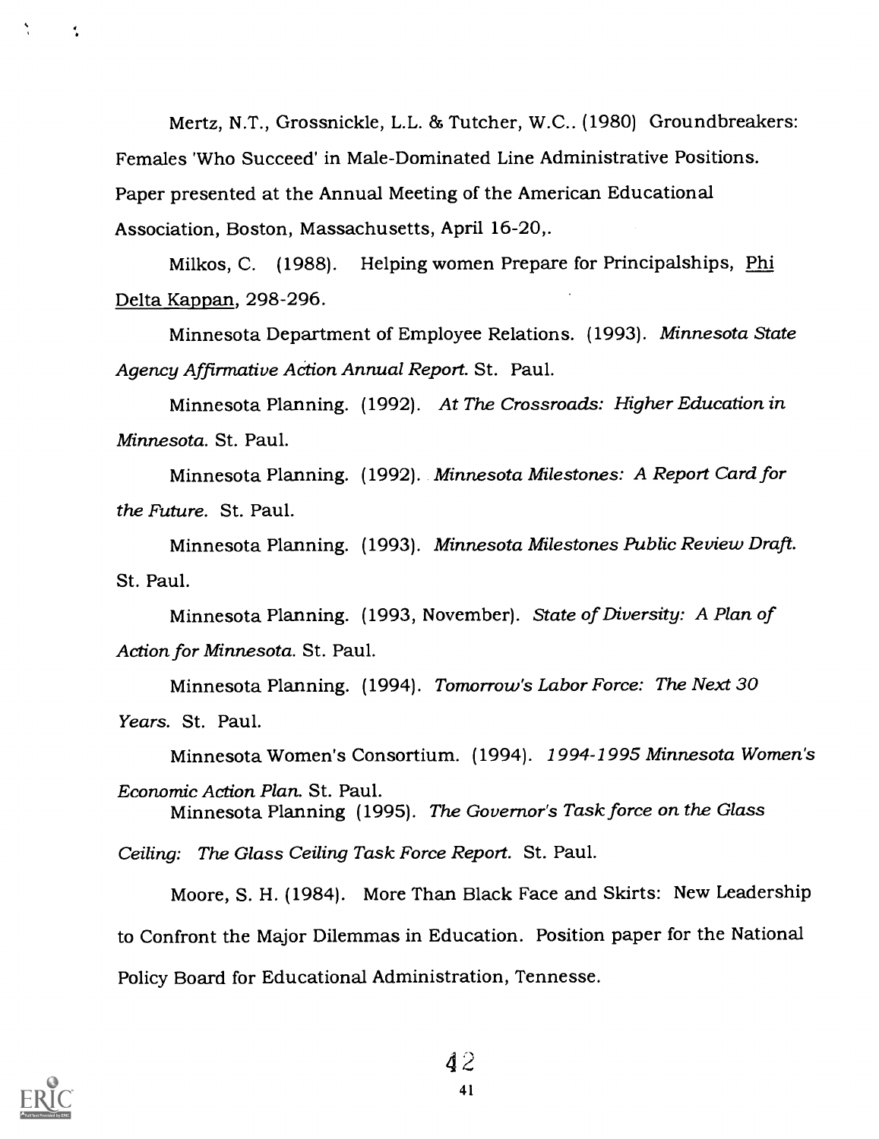Mertz, N.T., Grossnickle, L.L. 86 Tutcher, W.C.. (1980) Groundbreakers: Females 'Who Succeed' in Male-Dominated Line Administrative Positions. Paper presented at the Annual Meeting of the American Educational Association, Boston, Massachusetts, April 16-20,.

Milkos, C. (1988). Helping women Prepare for Principalships, Phi Delta Kappan, 298-296.

Minnesota Department of Employee Relations. (1993). Minnesota State Agency Affirmative ACtion Annual Report. St. Paul.

Minnesota Planning. (1992). At The Crossroads: Higher Education in Minnesota. St. Paul.

Minnesota Planning. (1992). Minnesota Milestones: A Report Card for the Future. St. Paul.

Minnesota Planning. (1993). Minnesota Milestones Public Review Draft. St. Paul.

Minnesota Planning. (1993, November). State of Diversity: A Plan of Action for Minnesota. St. Paul.

Minnesota Planning. (1994). Tomorrow's Labor Force: The Next 30 Years. St. Paul.

Minnesota Women's Consortium. (1994). 1994-1995 Minnesota Women's

Economic Action Plan. St. Paul. Minnesota Planning (1995). The Governor's Task force on the Glass

Ceiling: The Glass Ceiling Task Force Report. St. Paul.

Moore, S. H. (1984). More Than Black Face and Skirts: New Leadership to Confront the Major Dilemmas in Education. Position paper for the National Policy Board for Educational Administration, Tennesse.



N

÷.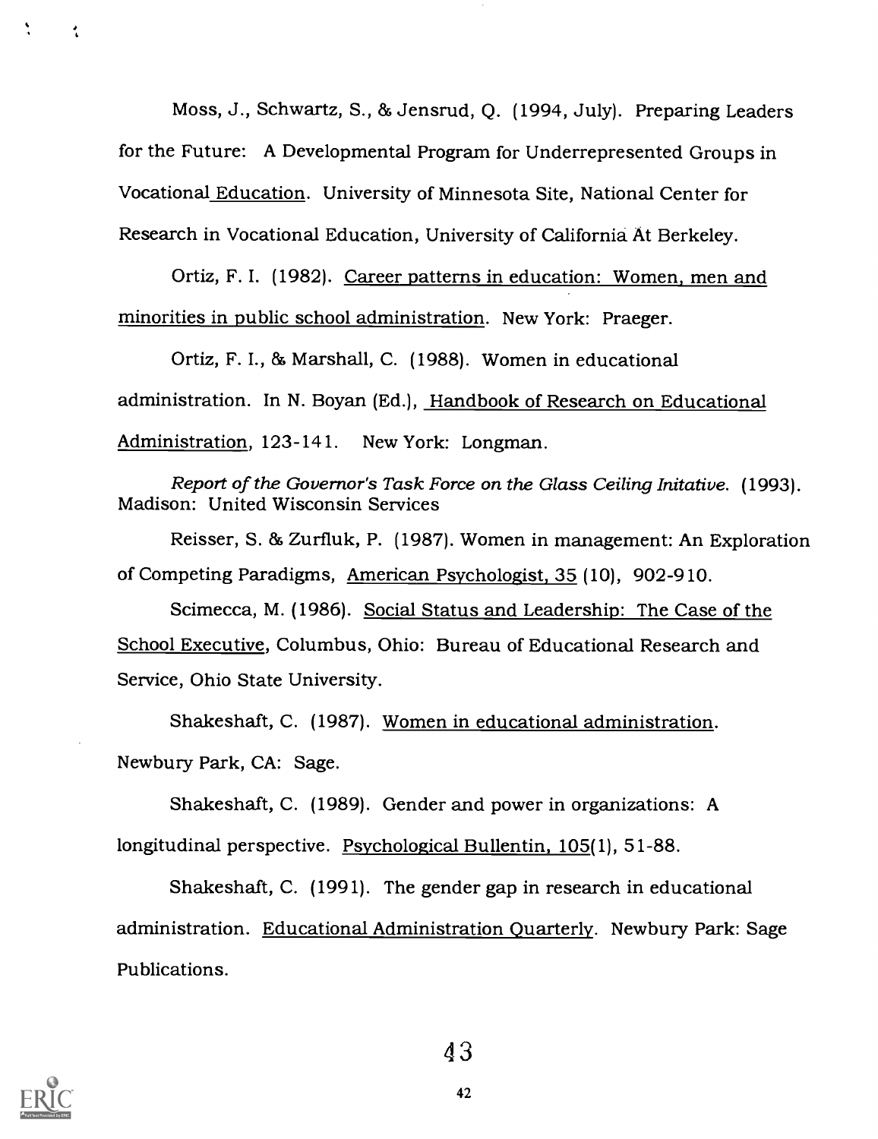Moss, J., Schwartz, S., 86Jensrud, Q. (1994, July). Preparing Leaders for the Future: A Developmental Program for Underrepresented Groups in Vocational Education. University of Minnesota Site, National Center for Research in Vocational Education, University of California At Berkeley.

Ortiz, F. I. (1982). Career patterns in education: Women, men and minorities in public school administration. New York: Praeger.

Ortiz, F. I., 85 Marshall, C. (1988). Women in educational administration. In N. Boyan (Ed.), Handbook of Research on Educational Administration, 123-141. New York: Longman.

Report of the Governor's Task Force on the Glass Ceiling Initative. (1993). Madison: United Wisconsin Services

Reisser, S. 86 Zurfluk, P. (1987). Women in management: An Exploration of Competing Paradigms, American Psychologist, 35 (10), 902-910.

Scimecca, M. (1986). Social Status and Leadership: The Case of the School Executive, Columbus, Ohio: Bureau of Educational Research and Service, Ohio State University.

Shakeshaft, C. (1987). Women in educational administration. Newbury Park, CA: Sage.

Shakeshaft, C. (1989). Gender and power in organizations: A longitudinal perspective. Psychological Bullentin, 105(1), 51-88.

Shakeshaft, C. (1991). The gender gap in research in educational administration. Educational Administration Quarterly. Newbury Park: Sage Publications.



÷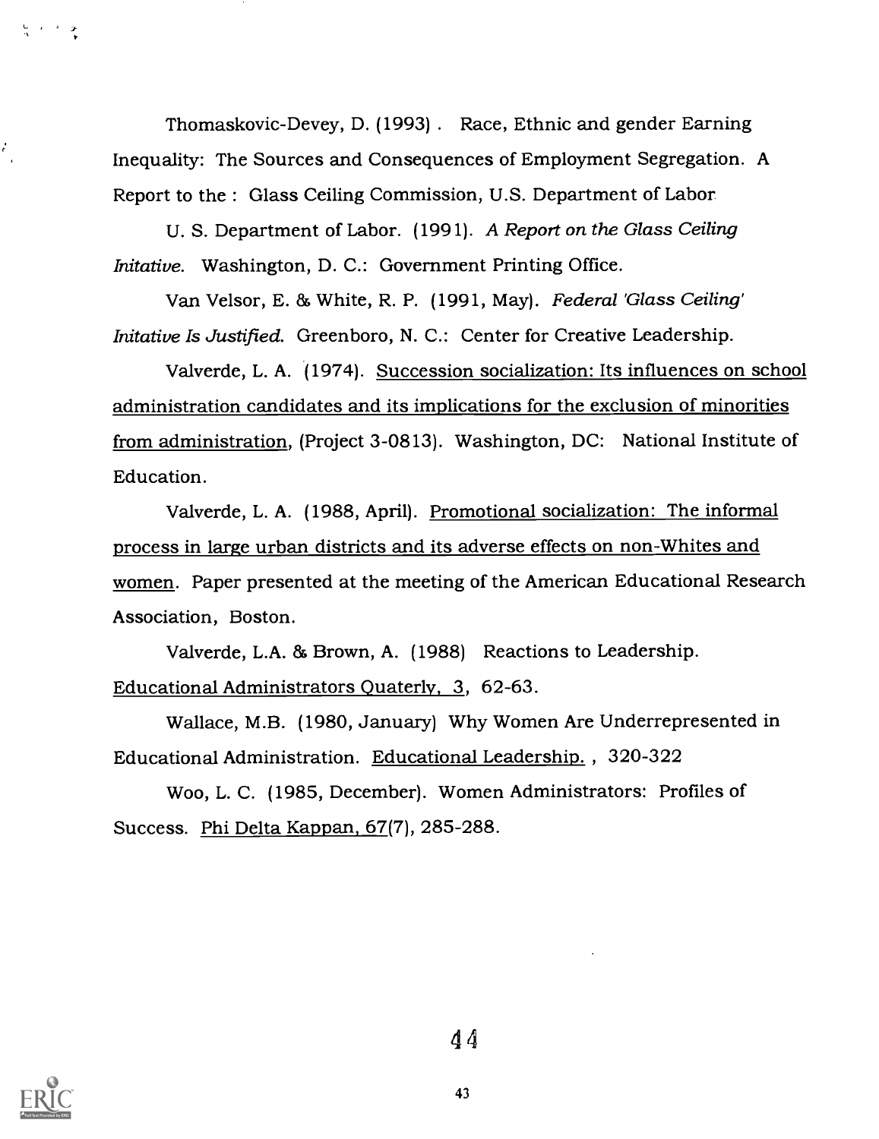Thomaskovic-Devey, D. (1993) . Race, Ethnic and gender Earning Inequality: The Sources and Consequences of Employment Segregation. A Report to the : Glass Ceiling Commission, U.S. Department of Labor

U. S. Department of Labor. (1991). A Report on the Glass Ceiling Initative. Washington, D. C.: Government Printing Office.

Van Velsor, E. & White, R. P. (1991, May). Federal 'Glass Ceiling' Initative Is Justified. Greenboro, N. C.: Center for Creative Leadership.

Valverde, L. A. (1974). Succession socialization: Its influences on school administration candidates and its implications for the exclusion of minorities from administration, (Project 3-0813). Washington, DC: National Institute of Education.

Valverde, L. A. (1988, April). Promotional socialization: The informal process in large urban districts and its adverse effects on non-Whites and women. Paper presented at the meeting of the American Educational Research Association, Boston.

Valverde, L.A. & Brown, A. (1988) Reactions to Leadership. Educational Administrators Ouaterly, 3, 62-63.

Wallace, M.B. (1980, January) Why Women Are Underrepresented in Educational Administration. Educational Leadership. , 320-322

Woo, L. C. (1985, December). Women Administrators: Profiles of Success. Phi Delta Kappan, 67(7), 285-288.



 $\frac{6}{3}$  and  $\frac{1}{3}$ 

 $\mathcal{E}_{\mathcal{E}}$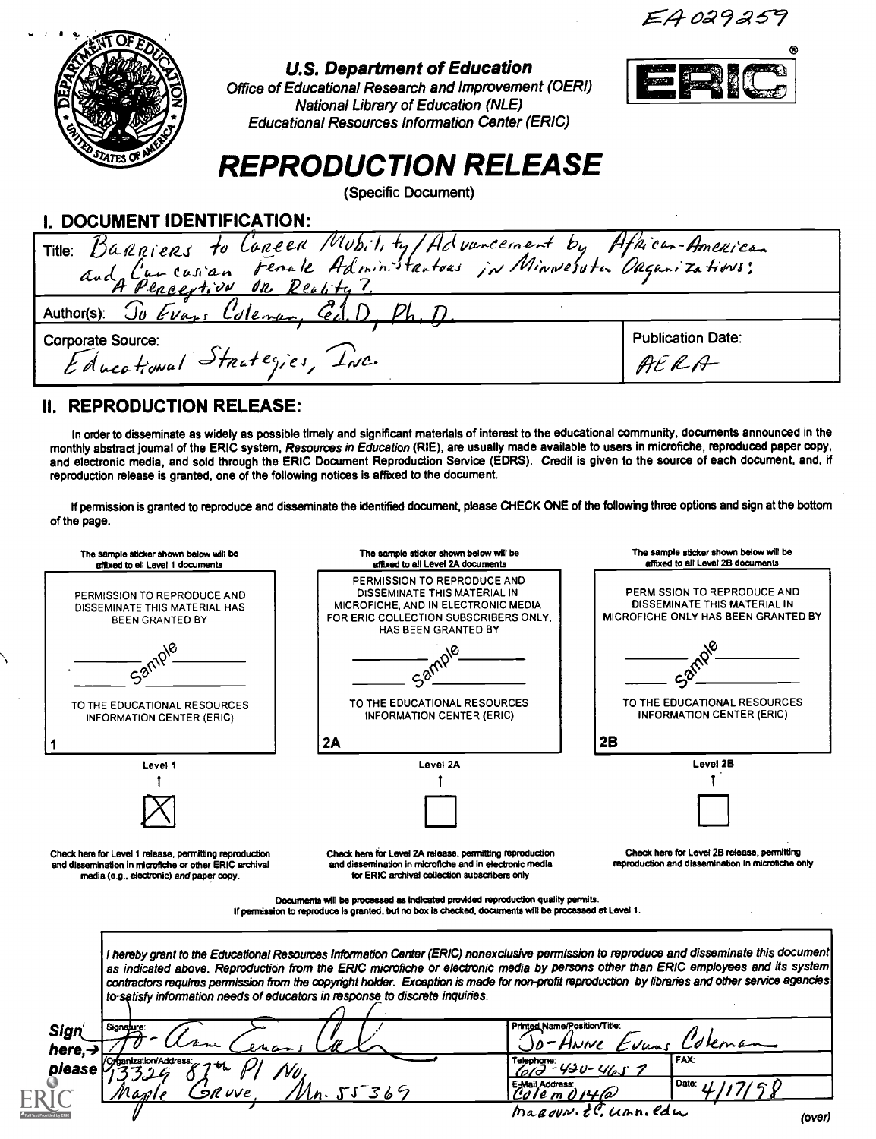EA029259



#### U.S. Department of Education

Office of Educational Research and Improvement (0ERI) National Library of Education (NLE) Educational Resources Information Center (ERIC)



# REPRODUCTION RELEASE

(Specific Document)

### I. DOCUMENT IDENTIFICATION:

| I. DOCUMENT IDENTIFICATION:                                        |                          |
|--------------------------------------------------------------------|--------------------------|
|                                                                    |                          |
| Title: Baarjers to Careen Mubility/Advuncement by Afhican-American |                          |
| Author(s): To Evans Coleman, Cel.D. Ph, D.                         |                          |
| <b>Corporate Source:</b>                                           | <b>Publication Date:</b> |
| Educational Strategies, INC.                                       | AERA                     |

### II. REPRODUCTION RELEASE:

In order to disseminate as widely as possible timely and significant materials of interest to the educational community, documents announced in the monthly abstract journal of the ERIC system, Resources in Education (RIE), are usually made available to users in microfiche, reproduced paper copy, and electronic media, and sold through the ERIC Document Reproduction Service (EDRS). Credit is given to the source of each document, and, if reproduction release is granted, one of the following notices is affixed to the document.

If permission is granted to reproduce and disseminate the identified document, please CHECK ONE of the following three options and sign at the bottom of the page.

| The sample sticker shown below will be<br>affixed to ell Level 1 documents                                                                                    | The sample sticker shown below will be<br>affixed to all Level 2A documents                                                                                                                                                                                                    | The sample sticker shown below will be<br>affixed to all Level 2B documents                                                                      |
|---------------------------------------------------------------------------------------------------------------------------------------------------------------|--------------------------------------------------------------------------------------------------------------------------------------------------------------------------------------------------------------------------------------------------------------------------------|--------------------------------------------------------------------------------------------------------------------------------------------------|
| PERMISSION TO REPRODUCE AND<br>DISSEMINATE THIS MATERIAL HAS<br>BEEN GRANTED BY                                                                               | PERMISSION TO REPRODUCE AND<br>DISSEMINATE THIS MATERIAL IN<br>MICROFICHE, AND IN ELECTRONIC MEDIA<br>FOR ERIC COLLECTION SUBSCRIBERS ONLY.<br>HAS BEEN GRANTED BY                                                                                                             | PERMISSION TO REPRODUCE AND<br>DISSEMINATE THIS MATERIAL IN<br><b>MICROFICHE ONLY HAS BEEN GRANTED BY</b>                                        |
| $a^{\delta}$                                                                                                                                                  |                                                                                                                                                                                                                                                                                |                                                                                                                                                  |
| TO THE EDUCATIONAL RESOURCES<br><b>INFORMATION CENTER (ERIC)</b>                                                                                              | TO THE EDUCATIONAL RESOURCES<br><b>INFORMATION CENTER (ERIC)</b>                                                                                                                                                                                                               | TO THE EDUCATIONAL RESOURCES<br><b>INFORMATION CENTER (ERIC)</b>                                                                                 |
|                                                                                                                                                               | 2A                                                                                                                                                                                                                                                                             | 2B                                                                                                                                               |
| Level 1                                                                                                                                                       | Level 2A                                                                                                                                                                                                                                                                       | Level 2B                                                                                                                                         |
|                                                                                                                                                               |                                                                                                                                                                                                                                                                                |                                                                                                                                                  |
| Check here for Level 1 release, permitting reproduction<br>and dissemination in microfiche or other ERIC archival<br>media (e.g., electronic) and paper copy. | Check here for Level 2A release, permitting reproduction<br>and dissemination in microfiche and in electronic media<br>for ERIC archival collection subscribers only                                                                                                           | Check here for Level 2B release, permitting<br>reproduction and dissemination in microfiche only                                                 |
|                                                                                                                                                               | Documents will be processed as indicated provided reproduction quality permits.<br>If permission to reproduce is granted, but no box is checked, documents will be processed at Level 1.                                                                                       |                                                                                                                                                  |
|                                                                                                                                                               | l hereby grant to the Educational Resources Information Center (ERIC) nonexclusive permission to reproduce and disseminate this document <br>as indicated above. Reproduction from the ERIC microfiche or electronic media by persons other than ERIC employees and its system | contractors requires permission from the copyright holder. Exception is made for non-profit reproduction by libraries and other service agencies |
|                                                                                                                                                               | to-satisfy information needs of educators in response to discrete inquiries.                                                                                                                                                                                                   |                                                                                                                                                  |
| Signatu <u>r</u> e:                                                                                                                                           | Printed Name/Position/Title:                                                                                                                                                                                                                                                   | Vuns                                                                                                                                             |
| <b>Sign</b><br>here. $\rightarrow$<br>please                                                                                                                  |                                                                                                                                                                                                                                                                                | FAX:<br>$430 - 4105$                                                                                                                             |
|                                                                                                                                                               | E-Mail Address:<br>n. 55 <sup>-</sup> 369<br>Cu I e m O I4 <i>l</i> a                                                                                                                                                                                                          | Date:<br>ma <i>aoun t</i> .C. unn.edu                                                                                                            |